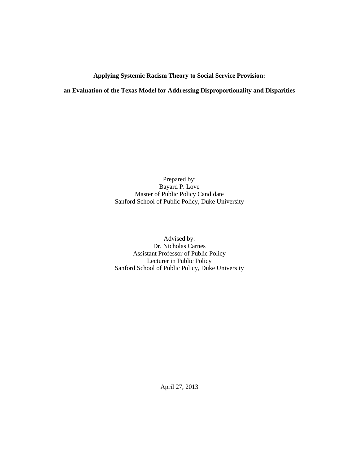# **Applying Systemic Racism Theory to Social Service Provision:**

**an Evaluation of the Texas Model for Addressing Disproportionality and Disparities**

Prepared by: Bayard P. Love Master of Public Policy Candidate Sanford School of Public Policy, Duke University

Advised by: Dr. Nicholas Carnes Assistant Professor of Public Policy Lecturer in Public Policy Sanford School of Public Policy, Duke University

April 27, 2013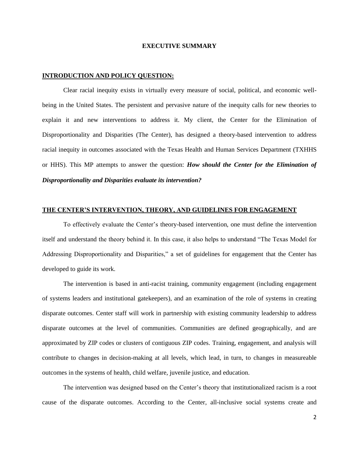#### **EXECUTIVE SUMMARY**

#### **INTRODUCTION AND POLICY QUESTION:**

Clear racial inequity exists in virtually every measure of social, political, and economic wellbeing in the United States. The persistent and pervasive nature of the inequity calls for new theories to explain it and new interventions to address it. My client, the Center for the Elimination of Disproportionality and Disparities (The Center), has designed a theory-based intervention to address racial inequity in outcomes associated with the Texas Health and Human Services Department (TXHHS or HHS). This MP attempts to answer the question: *How should the Center for the Elimination of Disproportionality and Disparities evaluate its intervention?*

## **THE CENTER'S INTERVENTION, THEORY, AND GUIDELINES FOR ENGAGEMENT**

To effectively evaluate the Center's theory-based intervention, one must define the intervention itself and understand the theory behind it. In this case, it also helps to understand "The Texas Model for Addressing Disproportionality and Disparities," a set of guidelines for engagement that the Center has developed to guide its work.

The intervention is based in anti-racist training, community engagement (including engagement of systems leaders and institutional gatekeepers), and an examination of the role of systems in creating disparate outcomes. Center staff will work in partnership with existing community leadership to address disparate outcomes at the level of communities. Communities are defined geographically, and are approximated by ZIP codes or clusters of contiguous ZIP codes. Training, engagement, and analysis will contribute to changes in decision-making at all levels, which lead, in turn, to changes in measureable outcomes in the systems of health, child welfare, juvenile justice, and education.

The intervention was designed based on the Center's theory that institutionalized racism is a root cause of the disparate outcomes. According to the Center, all-inclusive social systems create and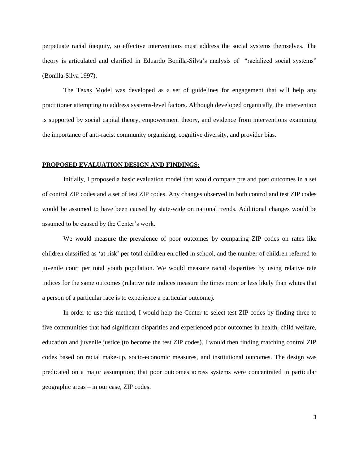perpetuate racial inequity, so effective interventions must address the social systems themselves. The theory is articulated and clarified in Eduardo Bonilla-Silva's analysis of "racialized social systems" [\(Bonilla-Silva 1997\)](#page-32-0).

The Texas Model was developed as a set of guidelines for engagement that will help any practitioner attempting to address systems-level factors. Although developed organically, the intervention is supported by social capital theory, empowerment theory, and evidence from interventions examining the importance of anti-racist community organizing, cognitive diversity, and provider bias.

#### **PROPOSED EVALUATION DESIGN AND FINDINGS:**

Initially, I proposed a basic evaluation model that would compare pre and post outcomes in a set of control ZIP codes and a set of test ZIP codes. Any changes observed in both control and test ZIP codes would be assumed to have been caused by state-wide on national trends. Additional changes would be assumed to be caused by the Center's work.

We would measure the prevalence of poor outcomes by comparing ZIP codes on rates like children classified as 'at-risk' per total children enrolled in school, and the number of children referred to juvenile court per total youth population. We would measure racial disparities by using relative rate indices for the same outcomes (relative rate indices measure the times more or less likely than whites that a person of a particular race is to experience a particular outcome).

In order to use this method, I would help the Center to select test ZIP codes by finding three to five communities that had significant disparities and experienced poor outcomes in health, child welfare, education and juvenile justice (to become the test ZIP codes). I would then finding matching control ZIP codes based on racial make-up, socio-economic measures, and institutional outcomes. The design was predicated on a major assumption; that poor outcomes across systems were concentrated in particular geographic areas – in our case, ZIP codes.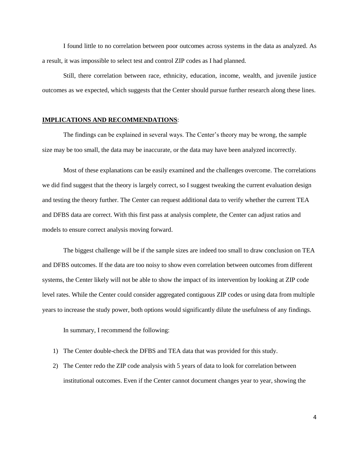I found little to no correlation between poor outcomes across systems in the data as analyzed. As a result, it was impossible to select test and control ZIP codes as I had planned.

Still, there correlation between race, ethnicity, education, income, wealth, and juvenile justice outcomes as we expected, which suggests that the Center should pursue further research along these lines.

#### **IMPLICATIONS AND RECOMMENDATIONS**:

The findings can be explained in several ways. The Center's theory may be wrong, the sample size may be too small, the data may be inaccurate, or the data may have been analyzed incorrectly.

Most of these explanations can be easily examined and the challenges overcome. The correlations we did find suggest that the theory is largely correct, so I suggest tweaking the current evaluation design and testing the theory further. The Center can request additional data to verify whether the current TEA and DFBS data are correct. With this first pass at analysis complete, the Center can adjust ratios and models to ensure correct analysis moving forward.

The biggest challenge will be if the sample sizes are indeed too small to draw conclusion on TEA and DFBS outcomes. If the data are too noisy to show even correlation between outcomes from different systems, the Center likely will not be able to show the impact of its intervention by looking at ZIP code level rates. While the Center could consider aggregated contiguous ZIP codes or using data from multiple years to increase the study power, both options would significantly dilute the usefulness of any findings.

In summary, I recommend the following:

- 1) The Center double-check the DFBS and TEA data that was provided for this study.
- 2) The Center redo the ZIP code analysis with 5 years of data to look for correlation between institutional outcomes. Even if the Center cannot document changes year to year, showing the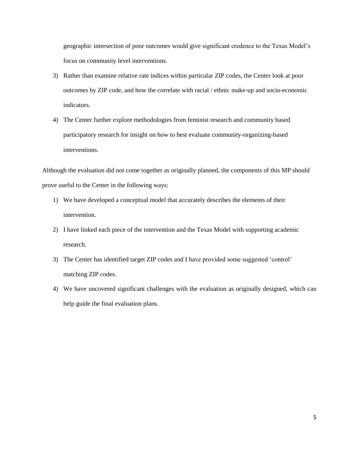geographic intersection of poor outcomes would give significant credence to the Texas Model's focus on community level interventions.

- 3) Rather than examine relative rate indices within particular ZIP codes, the Center look at poor outcomes by ZIP code, and how the correlate with racial / ethnic make-up and socio-economic indicators.
- 4) The Center further explore methodologies from feminist research and community based participatory research for insight on how to best evaluate community-organizing-based interventions.

Although the evaluation did not come together as originally planned, the components of this MP should prove useful to the Center in the following ways:

- 1) We have developed a conceptual model that accurately describes the elements of their intervention.
- 2) I have linked each piece of the intervention and the Texas Model with supporting academic research.
- 3) The Center has identified target ZIP codes and I have provided some suggested 'control' matching ZIP codes.
- 4) We have uncovered significant challenges with the evaluation as originally designed, which can help guide the final evaluation plans.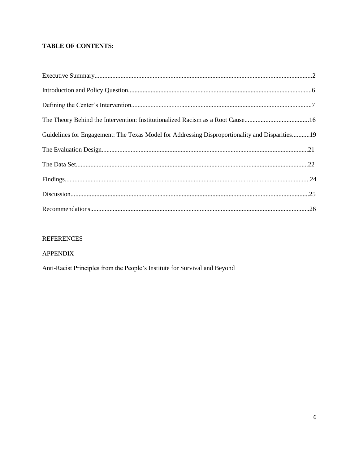# **TABLE OF CONTENTS:**

| Guidelines for Engagement: The Texas Model for Addressing Disproportionality and Disparities19 |  |
|------------------------------------------------------------------------------------------------|--|
|                                                                                                |  |
|                                                                                                |  |
|                                                                                                |  |
|                                                                                                |  |
|                                                                                                |  |

# **REFERENCES**

# **APPENDIX**

Anti-Racist Principles from the People's Institute for Survival and Beyond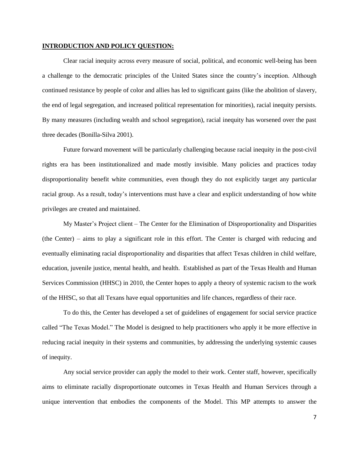#### **INTRODUCTION AND POLICY QUESTION:**

Clear racial inequity across every measure of social, political, and economic well-being has been a challenge to the democratic principles of the United States since the country's inception. Although continued resistance by people of color and allies has led to significant gains (like the abolition of slavery, the end of legal segregation, and increased political representation for minorities), racial inequity persists. By many measures (including wealth and school segregation), racial inequity has worsened over the past three decades [\(Bonilla-Silva 2001\)](#page-32-1).

Future forward movement will be particularly challenging because racial inequity in the post-civil rights era has been institutionalized and made mostly invisible. Many policies and practices today disproportionality benefit white communities, even though they do not explicitly target any particular racial group. As a result, today's interventions must have a clear and explicit understanding of how white privileges are created and maintained.

My Master's Project client – The Center for the Elimination of Disproportionality and Disparities (the Center) – aims to play a significant role in this effort. The Center is charged with reducing and eventually eliminating racial disproportionality and disparities that affect Texas children in child welfare, education, juvenile justice, mental health, and health. Established as part of the Texas Health and Human Services Commission (HHSC) in 2010, the Center hopes to apply a theory of systemic racism to the work of the HHSC, so that all Texans have equal opportunities and life chances, regardless of their race.

To do this, the Center has developed a set of guidelines of engagement for social service practice called "The Texas Model." The Model is designed to help practitioners who apply it be more effective in reducing racial inequity in their systems and communities, by addressing the underlying systemic causes of inequity.

Any social service provider can apply the model to their work. Center staff, however, specifically aims to eliminate racially disproportionate outcomes in Texas Health and Human Services through a unique intervention that embodies the components of the Model. This MP attempts to answer the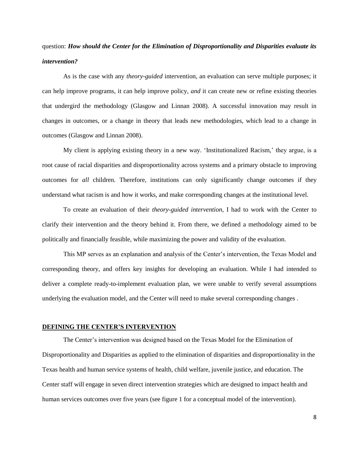# question: *How should the Center for the Elimination of Disproportionality and Disparities evaluate its intervention?*

As is the case with any *theory-guided* intervention*,* an evaluation can serve multiple purposes; it can help improve programs, it can help improve policy, *and* it can create new or refine existing theories that undergird the methodology [\(Glasgow and Linnan 2008\)](#page-33-0). A successful innovation may result in changes in outcomes, or a change in theory that leads new methodologies, which lead to a change in outcomes [\(Glasgow and Linnan 2008\)](#page-33-0).

My client is applying existing theory in a new way. 'Institutionalized Racism,' they argue, is a root cause of racial disparities and disproportionality across systems and a primary obstacle to improving outcomes for *all* children. Therefore, institutions can only significantly change outcomes if they understand what racism is and how it works, and make corresponding changes at the institutional level.

To create an evaluation of their *theory-guided intervention*, I had to work with the Center to clarify their intervention and the theory behind it. From there, we defined a methodology aimed to be politically and financially feasible, while maximizing the power and validity of the evaluation.

This MP serves as an explanation and analysis of the Center's intervention, the Texas Model and corresponding theory, and offers key insights for developing an evaluation. While I had intended to deliver a complete ready-to-implement evaluation plan, we were unable to verify several assumptions underlying the evaluation model, and the Center will need to make several corresponding changes .

#### **DEFINING THE CENTER'S INTERVENTION**

The Center's intervention was designed based on the Texas Model for the Elimination of Disproportionality and Disparities as applied to the elimination of disparities and disproportionality in the Texas health and human service systems of health, child welfare, juvenile justice, and education. The Center staff will engage in seven direct intervention strategies which are designed to impact health and human services outcomes over five years (see figure 1 for a conceptual model of the intervention).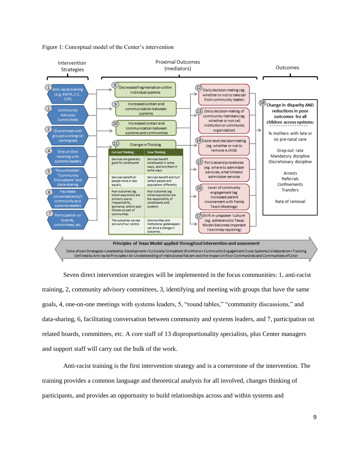

Figure 1: Conceptual model of the Center's intervention

Seven direct intervention strategies will be implemented in the focus communities: 1, anti-racist training, 2, community advisory committees, 3, identifying and meeting with groups that have the same goals, 4, one-on-one meetings with systems leaders, 5, "round tables," "community discussions," and data-sharing, 6, facilitating conversation between community and systems leaders, and 7, participation on related boards, committees, etc. A core staff of 13 disproportionality specialists, plus Center managers and support staff will carry out the bulk of the work.

Anti-racist training is the first intervention strategy and is a cornerstone of the intervention. The training provides a common language and theoretical analysis for all involved, changes thinking of participants, and provides an opportunity to build relationships across and within systems and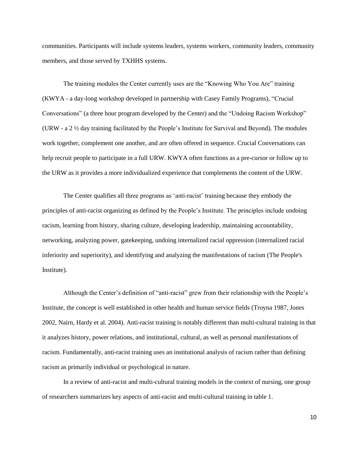communities. Participants will include systems leaders, systems workers, community leaders, community members, and those served by TXHHS systems.

The training modules the Center currently uses are the "Knowing Who You Are" training (KWYA - a day-long workshop developed in partnership with Casey Family Programs), "Crucial Conversations" (a three hour program developed by the Center) and the "Undoing Racism Workshop" (URW - a 2 ½ day training facilitated by the People's Institute for Survival and Beyond). The modules work together, complement one another, and are often offered in sequence. Crucial Conversations can help recruit people to participate in a full URW. KWYA often functions as a pre-cursor or follow up to the URW as it provides a more individualized experience that complements the content of the URW.

The Center qualifies all three programs as 'anti-racist' training because they embody the principles of anti-racist organizing as defined by the People's Institute. The principles include undoing racism, learning from history, sharing culture, developing leadership, maintaining accountability, networking, analyzing power, gatekeeping, undoing internalized racial oppression (internalized racial inferiority and superiority), and identifying and analyzing the manifestations of racism [\(The People's](#page-36-0)  [Institute\)](#page-36-0).

Although the Center's definition of "anti-racist" grew from their relationship with the People's Institute, the concept is well established in other health and human service fields [\(Troyna 1987,](#page-36-1) [Jones](#page-33-1)  [2002,](#page-33-1) [Nairn, Hardy et al. 2004\)](#page-34-0). Anti-racist training is notably different than multi-cultural training in that it analyzes history, power relations, and institutional, cultural, as well as personal manifestations of racism. Fundamentally, anti-racist training uses an institutional analysis of racism rather than defining racism as primarily individual or psychological in nature.

In a review of anti-racist and multi-cultural training models in the context of nursing, one group of researchers summarizes key aspects of anti-racist and multi-cultural training in table 1.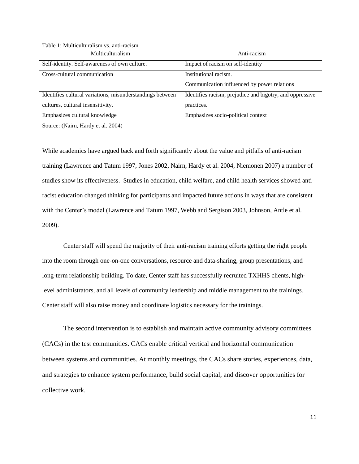Table 1: Multiculturalism vs. anti-racism

| Multiculturalism                                          | Anti-racism                                              |
|-----------------------------------------------------------|----------------------------------------------------------|
| Self-identity. Self-awareness of own culture.             | Impact of racism on self-identity                        |
| Cross-cultural communication                              | Institutional racism.                                    |
|                                                           | Communication influenced by power relations              |
| Identifies cultural variations, misunderstandings between | Identifies racism, prejudice and bigotry, and oppressive |
| cultures, cultural insensitivity.                         | practices.                                               |
| Emphasizes cultural knowledge                             | Emphasizes socio-political context                       |

Source: [\(Nairn, Hardy et al. 2004\)](#page-34-0)

While academics have argued back and forth significantly about the value and pitfalls of anti-racism training [\(Lawrence and Tatum 1997,](#page-34-1) [Jones 2002,](#page-33-1) [Nairn, Hardy et al. 2004,](#page-34-0) [Niemonen 2007\)](#page-34-2) a number of studies show its effectiveness. Studies in education, child welfare, and child health services showed antiracist education changed thinking for participants and impacted future actions in ways that are consistent with the Center's model [\(Lawrence and Tatum 1997,](#page-34-1) [Webb and Sergison 2003,](#page-36-2) [Johnson, Antle et al.](#page-33-2)  [2009\)](#page-33-2).

Center staff will spend the majority of their anti-racism training efforts getting the right people into the room through one-on-one conversations, resource and data-sharing, group presentations, and long-term relationship building. To date, Center staff has successfully recruited TXHHS clients, highlevel administrators, and all levels of community leadership and middle management to the trainings. Center staff will also raise money and coordinate logistics necessary for the trainings.

The second intervention is to establish and maintain active community advisory committees (CACs) in the test communities. CACs enable critical vertical and horizontal communication between systems and communities. At monthly meetings, the CACs share stories, experiences, data, and strategies to enhance system performance, build social capital, and discover opportunities for collective work.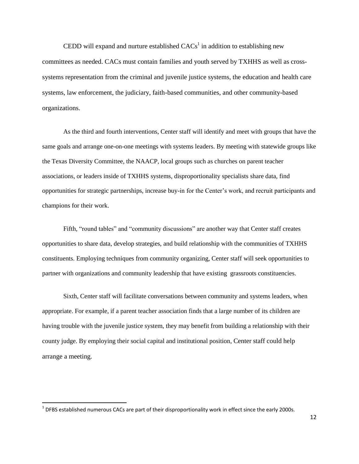CEDD will expand and nurture established  $CACs<sup>1</sup>$  in addition to establishing new committees as needed. CACs must contain families and youth served by TXHHS as well as crosssystems representation from the criminal and juvenile justice systems, the education and health care systems, law enforcement, the judiciary, faith-based communities, and other community-based organizations.

As the third and fourth interventions, Center staff will identify and meet with groups that have the same goals and arrange one-on-one meetings with systems leaders. By meeting with statewide groups like the Texas Diversity Committee, the NAACP, local groups such as churches on parent teacher associations, or leaders inside of TXHHS systems, disproportionality specialists share data, find opportunities for strategic partnerships, increase buy-in for the Center's work, and recruit participants and champions for their work.

Fifth, "round tables" and "community discussions" are another way that Center staff creates opportunities to share data, develop strategies, and build relationship with the communities of TXHHS constituents. Employing techniques from community organizing, Center staff will seek opportunities to partner with organizations and community leadership that have existing grassroots constituencies.

Sixth, Center staff will facilitate conversations between community and systems leaders, when appropriate. For example, if a parent teacher association finds that a large number of its children are having trouble with the juvenile justice system, they may benefit from building a relationship with their county judge. By employing their social capital and institutional position, Center staff could help arrange a meeting.

<sup>&</sup>lt;u>-</u><br><sup>1</sup> DFBS established numerous CACs are part of their disproportionality work in effect since the early 2000s.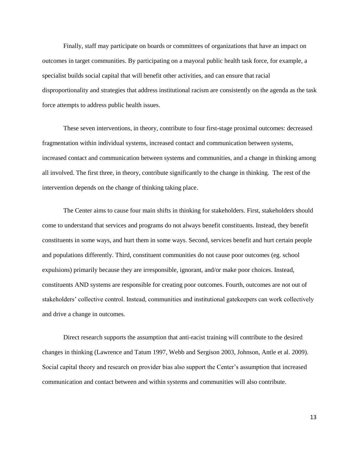Finally, staff may participate on boards or committees of organizations that have an impact on outcomes in target communities. By participating on a mayoral public health task force, for example, a specialist builds social capital that will benefit other activities, and can ensure that racial disproportionality and strategies that address institutional racism are consistently on the agenda as the task force attempts to address public health issues.

These seven interventions, in theory, contribute to four first-stage proximal outcomes: decreased fragmentation within individual systems, increased contact and communication between systems, increased contact and communication between systems and communities, and a change in thinking among all involved. The first three, in theory, contribute significantly to the change in thinking. The rest of the intervention depends on the change of thinking taking place.

The Center aims to cause four main shifts in thinking for stakeholders. First, stakeholders should come to understand that services and programs do not always benefit constituents. Instead, they benefit constituents in some ways, and hurt them in some ways. Second, services benefit and hurt certain people and populations differently. Third, constituent communities do not cause poor outcomes (eg. school expulsions) primarily because they are irresponsible, ignorant, and/or make poor choices. Instead, constituents AND systems are responsible for creating poor outcomes. Fourth, outcomes are not out of stakeholders' collective control. Instead, communities and institutional gatekeepers can work collectively and drive a change in outcomes.

Direct research supports the assumption that anti-racist training will contribute to the desired changes in thinking [\(Lawrence and Tatum 1997,](#page-34-1) [Webb and Sergison 2003,](#page-36-2) [Johnson, Antle et al. 2009\)](#page-33-2). Social capital theory and research on provider bias also support the Center's assumption that increased communication and contact between and within systems and communities will also contribute.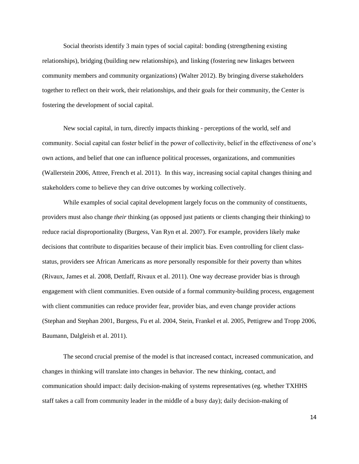Social theorists identify 3 main types of social capital: bonding (strengthening existing relationships), bridging (building new relationships), and linking (fostering new linkages between community members and community organizations) [\(Walter 2012\)](#page-36-3). By bringing diverse stakeholders together to reflect on their work, their relationships, and their goals for their community, the Center is fostering the development of social capital.

New social capital, in turn, directly impacts thinking - perceptions of the world, self and community. Social capital can foster belief in the power of collectivity, belief in the effectiveness of one's own actions, and belief that one can influence political processes, organizations, and communities [\(Wallerstein 2006,](#page-36-4) [Attree, French et al. 2011\)](#page-32-2). In this way, increasing social capital changes thining and stakeholders come to believe they can drive outcomes by working collectively.

While examples of social capital development largely focus on the community of constituents, providers must also change *their* thinking (as opposed just patients or clients changing their thinking) to reduce racial disproportionality [\(Burgess, Van Ryn et al. 2007\)](#page-32-3). For example, providers likely make decisions that contribute to disparities because of their implicit bias. Even controlling for client classstatus, providers see African Americans as *more* personally responsible for their poverty than whites [\(Rivaux, James et al. 2008,](#page-35-0) [Dettlaff, Rivaux et al. 2011\)](#page-32-4). One way decrease provider bias is through engagement with client communities. Even outside of a formal community-building process, engagement with client communities can reduce provider fear, provider bias, and even change provider actions [\(Stephan and Stephan 2001,](#page-35-1) [Burgess, Fu et al. 2004,](#page-32-5) [Stein, Frankel et al. 2005,](#page-35-2) [Pettigrew and Tropp 2006,](#page-35-3) [Baumann, Dalgleish et al. 2011\)](#page-32-6).

The second crucial premise of the model is that increased contact, increased communication, and changes in thinking will translate into changes in behavior. The new thinking, contact, and communication should impact: daily decision-making of systems representatives (eg. whether TXHHS staff takes a call from community leader in the middle of a busy day); daily decision-making of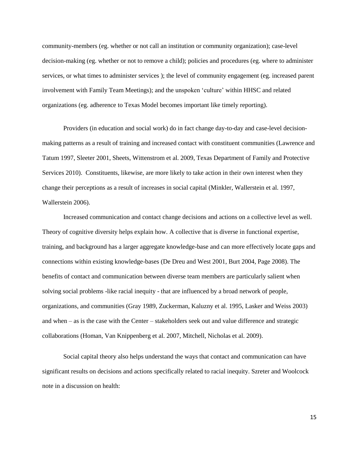community-members (eg. whether or not call an institution or community organization); case-level decision-making (eg. whether or not to remove a child); policies and procedures (eg. where to administer services, or what times to administer services ); the level of community engagement (eg. increased parent involvement with Family Team Meetings); and the unspoken 'culture' within HHSC and related organizations (eg. adherence to Texas Model becomes important like timely reporting).

Providers (in education and social work) do in fact change day-to-day and case-level decisionmaking patterns as a result of training and increased contact with constituent communities [\(Lawrence and](#page-34-1)  [Tatum 1997,](#page-34-1) [Sleeter 2001,](#page-35-4) [Sheets, Wittenstrom et al. 2009,](#page-35-5) [Texas Department of Family and Protective](#page-35-6)  [Services 2010\)](#page-35-6). Constituents, likewise, are more likely to take action in their own interest when they change their perceptions as a result of increases in social capital [\(Minkler, Wallerstein et al. 1997,](#page-34-3) [Wallerstein 2006\)](#page-36-4).

Increased communication and contact change decisions and actions on a collective level as well. Theory of cognitive diversity helps explain how. A collective that is diverse in functional expertise, training, and background has a larger aggregate knowledge-base and can more effectively locate gaps and connections within existing knowledge-bases [\(De Dreu and West 2001,](#page-32-7) [Burt 2004,](#page-32-8) [Page 2008\)](#page-34-4). The benefits of contact and communication between diverse team members are particularly salient when solving social problems -like racial inequity - that are influenced by a broad network of people, organizations, and communities [\(Gray 1989,](#page-33-3) [Zuckerman, Kaluzny et al. 1995,](#page-36-5) [Lasker and Weiss 2003\)](#page-34-5) and when – as is the case with the Center – stakeholders seek out and value difference and strategic collaborations [\(Homan, Van Knippenberg et al. 2007,](#page-33-4) [Mitchell, Nicholas et al. 2009\)](#page-34-6).

Social capital theory also helps understand the ways that contact and communication can have significant results on decisions and actions specifically related to racial inequity. Szreter and Woolcock note in a discussion on health: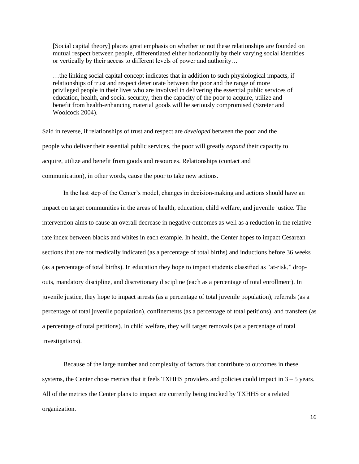[Social capital theory] places great emphasis on whether or not these relationships are founded on mutual respect between people, differentiated either horizontally by their varying social identities or vertically by their access to different levels of power and authority…

…the linking social capital concept indicates that in addition to such physiological impacts, if relationships of trust and respect deteriorate between the poor and the range of more privileged people in their lives who are involved in delivering the essential public services of education, health, and social security, then the capacity of the poor to acquire, utilize and benefit from health-enhancing material goods will be seriously compromised [\(Szreter and](#page-35-7)  [Woolcock 2004\)](#page-35-7).

Said in reverse, if relationships of trust and respect are *developed* between the poor and the people who deliver their essential public services, the poor will greatly *expand* their capacity to acquire, utilize and benefit from goods and resources. Relationships (contact and communication), in other words, cause the poor to take new actions.

In the last step of the Center's model, changes in decision-making and actions should have an impact on target communities in the areas of health, education, child welfare, and juvenile justice. The intervention aims to cause an overall decrease in negative outcomes as well as a reduction in the relative rate index between blacks and whites in each example. In health, the Center hopes to impact Cesarean sections that are not medically indicated (as a percentage of total births) and inductions before 36 weeks (as a percentage of total births). In education they hope to impact students classified as "at-risk," dropouts, mandatory discipline, and discretionary discipline (each as a percentage of total enrollment). In juvenile justice, they hope to impact arrests (as a percentage of total juvenile population), referrals (as a percentage of total juvenile population), confinements (as a percentage of total petitions), and transfers (as a percentage of total petitions). In child welfare, they will target removals (as a percentage of total investigations).

Because of the large number and complexity of factors that contribute to outcomes in these systems, the Center chose metrics that it feels TXHHS providers and policies could impact in  $3 - 5$  years. All of the metrics the Center plans to impact are currently being tracked by TXHHS or a related organization.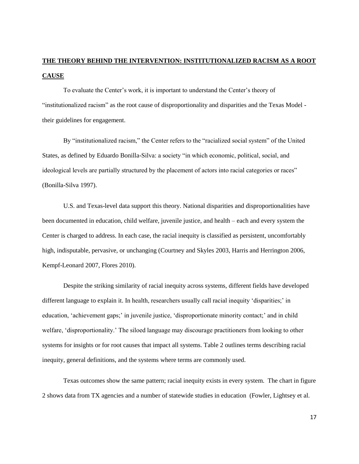# **THE THEORY BEHIND THE INTERVENTION: INSTITUTIONALIZED RACISM AS A ROOT CAUSE**

To evaluate the Center's work, it is important to understand the Center's theory of "institutionalized racism" as the root cause of disproportionality and disparities and the Texas Model their guidelines for engagement.

By "institutionalized racism," the Center refers to the "racialized social system" of the United States, as defined by Eduardo Bonilla-Silva: a society "in which economic, political, social, and ideological levels are partially structured by the placement of actors into racial categories or races" [\(Bonilla-Silva 1997\)](#page-32-0).

U.S. and Texas-level data support this theory. National disparities and disproportionalities have been documented in education, child welfare, juvenile justice, and health – each and every system the Center is charged to address. In each case, the racial inequity is classified as persistent, uncomfortably high, indisputable, pervasive, or unchanging [\(Courtney and Skyles 2003,](#page-32-9) [Harris and Herrington 2006,](#page-33-5) [Kempf-Leonard 2007,](#page-33-6) [Flores 2010\)](#page-33-7).

Despite the striking similarity of racial inequity across systems, different fields have developed different language to explain it. In health, researchers usually call racial inequity 'disparities;' in education, 'achievement gaps;' in juvenile justice, 'disproportionate minority contact;' and in child welfare, 'disproportionality.' The siloed language may discourage practitioners from looking to other systems for insights or for root causes that impact all systems. Table 2 outlines terms describing racial inequity, general definitions, and the systems where terms are commonly used.

Texas outcomes show the same pattern; racial inequity exists in every system. The chart in figure 2 shows data from TX agencies and a number of statewide studies in education [\(Fowler, Lightsey et al.](#page-33-8)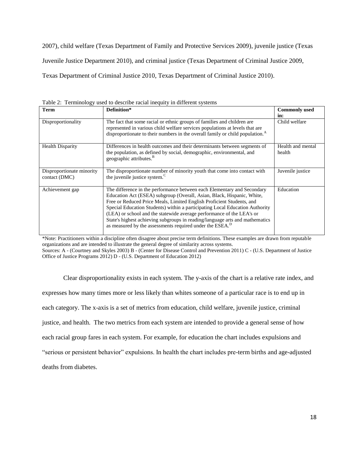[2007\)](#page-33-8), child welfare [\(Texas Department of Family and Protective Services 2009\)](#page-35-8), juvenile justice [\(Texas](#page-35-9)  [Juvenile Justice Department 2010\)](#page-35-9), and criminal justice [\(Texas Department of Criminal Justice 2009,](#page-35-10) [Texas Department of Criminal Justice 2010,](#page-35-11) [Texas Department of Criminal Justice 2010\)](#page-35-12).

| <b>Term</b>                                | Definition*                                                                                                                                                                                                                                                                                                                                                                                                                                                                                                                                 | <b>Commonly used</b>        |
|--------------------------------------------|---------------------------------------------------------------------------------------------------------------------------------------------------------------------------------------------------------------------------------------------------------------------------------------------------------------------------------------------------------------------------------------------------------------------------------------------------------------------------------------------------------------------------------------------|-----------------------------|
|                                            |                                                                                                                                                                                                                                                                                                                                                                                                                                                                                                                                             | in:                         |
| Disproportionality                         | The fact that some racial or ethnic groups of families and children are<br>represented in various child welfare services populations at levels that are<br>disproportionate to their numbers in the overall family or child population. <sup>A</sup>                                                                                                                                                                                                                                                                                        | Child welfare               |
| <b>Health Disparity</b>                    | Differences in health outcomes and their determinants between segments of<br>the population, as defined by social, demographic, environmental, and<br>geographic attributes. <sup>B</sup>                                                                                                                                                                                                                                                                                                                                                   | Health and mental<br>health |
| Disproportionate minority<br>contact (DMC) | The disproportionate number of minority youth that come into contact with<br>the juvenile justice system. <sup>C</sup>                                                                                                                                                                                                                                                                                                                                                                                                                      | Juvenile justice            |
| Achievement gap                            | The difference in the performance between each Elementary and Secondary<br>Education Act (ESEA) subgroup (Overall, Asian, Black, Hispanic, White,<br>Free or Reduced Price Meals, Limited English Proficient Students, and<br>Special Education Students) within a participating Local Education Authority<br>(LEA) or school and the statewide average performance of the LEA's or<br>State's highest achieving subgroups in reading/language arts and mathematics<br>as measured by the assessments required under the ESEA. <sup>D</sup> | Education                   |

Table 2: Terminology used to describe racial inequity in different systems

\*Note: Practitioners within a discipline often disagree about precise term definitions. These examples are drawn from reputable organizations and are intended to illustrate the general degree of similarity across systems. Sources: A - [\(Courtney and Skyles 2003\)](#page-32-9) B - [\(Center for Disease Control and Prevention 2011\)](#page-32-10) C - [\(U.S. Department of Justice](#page-36-6)  [Office of Justice Programs 2012\)](#page-36-6) D - [\(U.S. Department of Education 2012\)](#page-36-7)

Clear disproportionality exists in each system. The y-axis of the chart is a relative rate index, and expresses how many times more or less likely than whites someone of a particular race is to end up in each category. The x-axis is a set of metrics from education, child welfare, juvenile justice, criminal justice, and health. The two metrics from each system are intended to provide a general sense of how each racial group fares in each system. For example, for education the chart includes expulsions and "serious or persistent behavior" expulsions. In health the chart includes pre-term births and age-adjusted deaths from diabetes.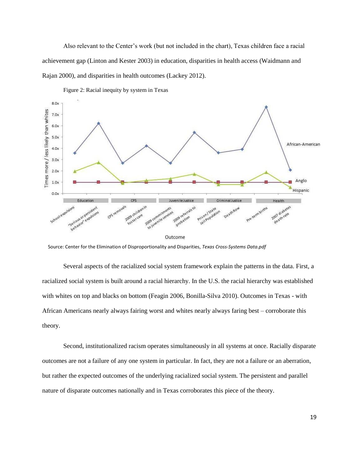Also relevant to the Center's work (but not included in the chart), Texas children face a racial achievement gap [\(Linton and Kester 2003\)](#page-34-7) in education, disparities in health access [\(Waidmann and](#page-36-8)  [Rajan 2000\)](#page-36-8), and disparities in health outcomes [\(Lackey 2012\)](#page-34-8).



Figure 2: Racial inequity by system in Texas

Source: Center for the Elimination of Disproportionality and Disparities, *Texas Cross-Systems Data.pdf*

Several aspects of the racialized social system framework explain the patterns in the data. First, a racialized social system is built around a racial hierarchy. In the U.S. the racial hierarchy was established with whites on top and blacks on bottom [\(Feagin 2006,](#page-33-9) [Bonilla-Silva 2010\)](#page-32-11). Outcomes in Texas - with African Americans nearly always fairing worst and whites nearly always faring best – corroborate this theory.

Second, institutionalized racism operates simultaneously in all systems at once. Racially disparate outcomes are not a failure of any one system in particular. In fact, they are not a failure or an aberration, but rather the expected outcomes of the underlying racialized social system. The persistent and parallel nature of disparate outcomes nationally and in Texas corroborates this piece of the theory.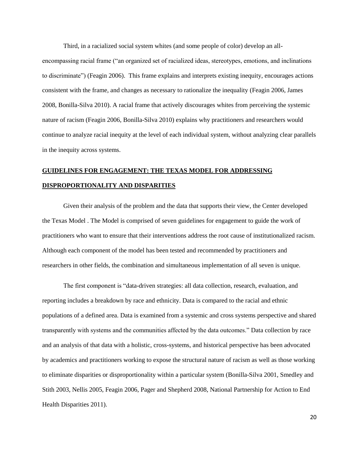Third, in a racialized social system whites (and some people of color) develop an all-

encompassing racial frame ("an organized set of racialized ideas, stereotypes, emotions, and inclinations to discriminate") [\(Feagin 2006\)](#page-33-9). This frame explains and interprets existing inequity, encourages actions consistent with the frame, and changes as necessary to rationalize the inequality [\(Feagin 2006,](#page-33-9) [James](#page-33-10)  [2008,](#page-33-10) [Bonilla-Silva 2010\)](#page-32-11). A racial frame that actively discourages whites from perceiving the systemic nature of racism [\(Feagin 2006,](#page-33-9) [Bonilla-Silva 2010\)](#page-32-11) explains why practitioners and researchers would continue to analyze racial inequity at the level of each individual system, without analyzing clear parallels in the inequity across systems.

# **GUIDELINES FOR ENGAGEMENT: THE TEXAS MODEL FOR ADDRESSING DISPROPORTIONALITY AND DISPARITIES**

Given their analysis of the problem and the data that supports their view, the Center developed the Texas Model . The Model is comprised of seven guidelines for engagement to guide the work of practitioners who want to ensure that their interventions address the root cause of institutionalized racism. Although each component of the model has been tested and recommended by practitioners and researchers in other fields, the combination and simultaneous implementation of all seven is unique.

The first component is "data-driven strategies: all data collection, research, evaluation, and reporting includes a breakdown by race and ethnicity. Data is compared to the racial and ethnic populations of a defined area. Data is examined from a systemic and cross systems perspective and shared transparently with systems and the communities affected by the data outcomes." Data collection by race and an analysis of that data with a holistic, cross-systems, and historical perspective has been advocated by academics and practitioners working to expose the structural nature of racism as well as those working to eliminate disparities or disproportionality within a particular system [\(Bonilla-Silva 2001,](#page-32-1) [Smedley and](#page-35-13)  [Stith 2003,](#page-35-13) [Nellis 2005,](#page-34-9) [Feagin 2006,](#page-33-9) [Pager and Shepherd 2008,](#page-34-10) [National Partnership for Action to End](#page-34-11)  [Health Disparities 2011\)](#page-34-11).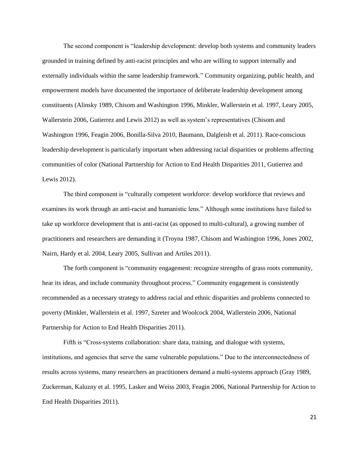The second component is "leadership development: develop both systems and community leaders grounded in training defined by anti-racist principles and who are willing to support internally and externally individuals within the same leadership framework." Community organizing, public health, and empowerment models have documented the importance of deliberate leadership development among constituents [\(Alinsky 1989,](#page-32-12) [Chisom and Washington 1996,](#page-32-13) [Minkler, Wallerstein et al. 1997,](#page-34-3) [Leary 2005,](#page-34-12) [Wallerstein 2006,](#page-36-4) [Gutierrez and Lewis 2012\)](#page-33-11) as well as system's representatives [\(Chisom and](#page-32-13)  [Washington 1996,](#page-32-13) [Feagin 2006,](#page-33-9) [Bonilla-Silva 2010,](#page-32-11) [Baumann, Dalgleish et al. 2011\)](#page-32-6). Race-conscious leadership development is particularly important when addressing racial disparities or problems affecting communities of color [\(National Partnership for Action to End Health Disparities 2011,](#page-34-11) [Gutierrez and](#page-33-11)  [Lewis 2012\)](#page-33-11).

The third component is "culturally competent workforce: develop workforce that reviews and examines its work through an anti-racist and humanistic lens." Although some institutions have failed to take up workforce development that is anti-racist (as opposed to multi-cultural), a growing number of practitioners and researchers are demanding it [\(Troyna 1987,](#page-36-1) [Chisom and Washington 1996,](#page-32-13) [Jones 2002,](#page-33-1) [Nairn, Hardy et al. 2004,](#page-34-0) [Leary 2005,](#page-34-12) [Sullivan and Artiles 2011\)](#page-35-14).

The forth component is "community engagement: recognize strengths of grass roots community, hear its ideas, and include community throughout process." Community engagement is consistently recommended as a necessary strategy to address racial and ethnic disparities and problems connected to poverty [\(Minkler, Wallerstein et al. 1997,](#page-34-3) [Szreter and Woolcock 2004,](#page-35-7) [Wallerstein 2006,](#page-36-4) [National](#page-34-11)  [Partnership for Action to End Health Disparities 2011\)](#page-34-11).

Fifth is "Cross-systems collaboration: share data, training, and dialogue with systems, institutions, and agencies that serve the same vulnerable populations." Due to the interconnectedness of results across systems, many researchers an practitioners demand a multi-systems approach [\(Gray 1989,](#page-33-3) [Zuckerman, Kaluzny et al. 1995,](#page-36-5) [Lasker and Weiss 2003,](#page-34-5) [Feagin 2006,](#page-33-9) [National Partnership for Action to](#page-34-11)  [End Health Disparities 2011\)](#page-34-11).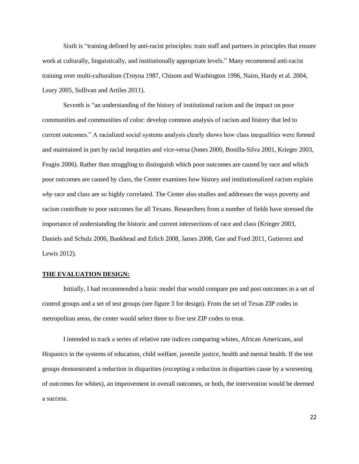Sixth is "training defined by anti-racist principles: train staff and partners in principles that ensure work at culturally, linguistically, and institutionally appropriate levels." Many recommend anti-racist training over multi-culturalism [\(Troyna 1987,](#page-36-1) [Chisom and Washington 1996,](#page-32-13) [Nairn, Hardy et al. 2004,](#page-34-0) [Leary 2005,](#page-34-12) [Sullivan and Artiles 2011\)](#page-35-14).

Seventh is "an understanding of the history of institutional racism and the impact on poor communities and communities of color: develop common analysis of racism and history that led to current outcomes." A racialized social systems analysis clearly shows how class inequalities were formed and maintained in part by racial inequities and vice-versa [\(Jones 2000,](#page-33-12) [Bonilla-Silva 2001,](#page-32-1) [Krieger 2003,](#page-34-13) [Feagin 2006\)](#page-33-9). Rather than struggling to distinguish which poor outcomes are caused by race and which poor outcomes are caused by class, the Center examines how history and institutionalized racism explain *why* race and class are so highly correlated. The Center also studies and addresses the ways poverty and racism contribute to poor outcomes for all Texans. Researchers from a number of fields have stressed the importance of understanding the historic and current intersections of race and class [\(Krieger 2003,](#page-34-13) [Daniels and Schulz 2006,](#page-32-14) [Bankhead and Erlich 2008,](#page-32-15) [James 2008,](#page-33-10) [Gee and Ford 2011,](#page-33-13) [Gutierrez and](#page-33-11)  [Lewis 2012\)](#page-33-11).

# **THE EVALUATION DESIGN:**

Initially, I had recommended a basic model that would compare pre and post outcomes in a set of control groups and a set of test groups (see figure 3 for design). From the set of Texas ZIP codes in metropolitan areas, the center would select three to five test ZIP codes to treat.

I intended to track a series of relative rate indices comparing whites, African Americans, and Hispanics in the systems of education, child welfare, juvenile justice, health and mental health. If the test groups demonstrated a reduction in disparities (excepting a reduction in disparities cause by a worsening of outcomes for whites), an improvement in overall outcomes, or both, the intervention would be deemed a success.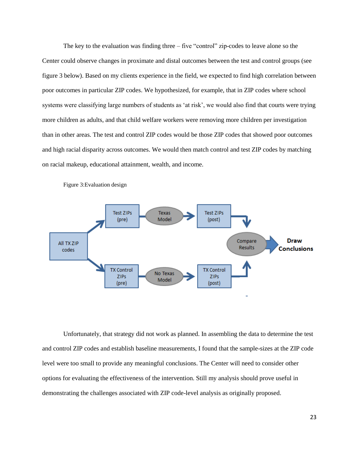The key to the evaluation was finding three – five "control" zip-codes to leave alone so the Center could observe changes in proximate and distal outcomes between the test and control groups (see figure 3 below). Based on my clients experience in the field, we expected to find high correlation between poor outcomes in particular ZIP codes. We hypothesized, for example, that in ZIP codes where school systems were classifying large numbers of students as 'at risk', we would also find that courts were trying more children as adults, and that child welfare workers were removing more children per investigation than in other areas. The test and control ZIP codes would be those ZIP codes that showed poor outcomes and high racial disparity across outcomes. We would then match control and test ZIP codes by matching on racial makeup, educational attainment, wealth, and income.



Figure 3:Evaluation design

Unfortunately, that strategy did not work as planned. In assembling the data to determine the test and control ZIP codes and establish baseline measurements, I found that the sample-sizes at the ZIP code level were too small to provide any meaningful conclusions. The Center will need to consider other options for evaluating the effectiveness of the intervention. Still my analysis should prove useful in demonstrating the challenges associated with ZIP code-level analysis as originally proposed.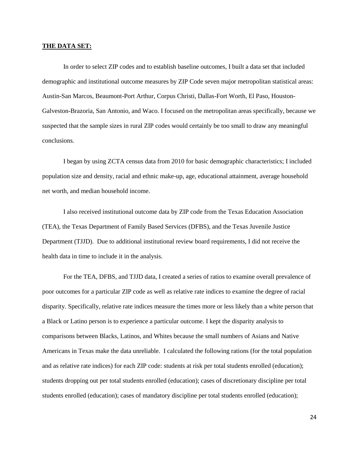#### **THE DATA SET:**

In order to select ZIP codes and to establish baseline outcomes, I built a data set that included demographic and institutional outcome measures by ZIP Code seven major metropolitan statistical areas: Austin-San Marcos, Beaumont-Port Arthur, Corpus Christi, Dallas-Fort Worth, El Paso, Houston-Galveston-Brazoria, San Antonio, and Waco. I focused on the metropolitan areas specifically, because we suspected that the sample sizes in rural ZIP codes would certainly be too small to draw any meaningful conclusions.

I began by using ZCTA census data from 2010 for basic demographic characteristics; I included population size and density, racial and ethnic make-up, age, educational attainment, average household net worth, and median household income.

I also received institutional outcome data by ZIP code from the Texas Education Association (TEA), the Texas Department of Family Based Services (DFBS), and the Texas Juvenile Justice Department (TJJD). Due to additional institutional review board requirements, I did not receive the health data in time to include it in the analysis.

For the TEA, DFBS, and TJJD data, I created a series of ratios to examine overall prevalence of poor outcomes for a particular ZIP code as well as relative rate indices to examine the degree of racial disparity. Specifically, relative rate indices measure the times more or less likely than a white person that a Black or Latino person is to experience a particular outcome. I kept the disparity analysis to comparisons between Blacks, Latinos, and Whites because the small numbers of Asians and Native Americans in Texas make the data unreliable. I calculated the following rations (for the total population and as relative rate indices) for each ZIP code: students at risk per total students enrolled (education); students dropping out per total students enrolled (education); cases of discretionary discipline per total students enrolled (education); cases of mandatory discipline per total students enrolled (education);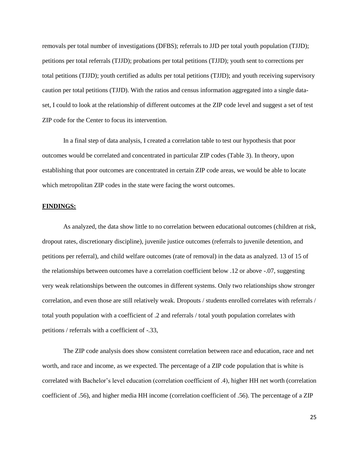removals per total number of investigations (DFBS); referrals to JJD per total youth population (TJJD); petitions per total referrals (TJJD); probations per total petitions (TJJD); youth sent to corrections per total petitions (TJJD); youth certified as adults per total petitions (TJJD); and youth receiving supervisory caution per total petitions (TJJD). With the ratios and census information aggregated into a single dataset, I could to look at the relationship of different outcomes at the ZIP code level and suggest a set of test ZIP code for the Center to focus its intervention.

In a final step of data analysis, I created a correlation table to test our hypothesis that poor outcomes would be correlated and concentrated in particular ZIP codes (Table 3). In theory, upon establishing that poor outcomes are concentrated in certain ZIP code areas, we would be able to locate which metropolitan ZIP codes in the state were facing the worst outcomes.

# **FINDINGS:**

As analyzed, the data show little to no correlation between educational outcomes (children at risk, dropout rates, discretionary discipline), juvenile justice outcomes (referrals to juvenile detention, and petitions per referral), and child welfare outcomes (rate of removal) in the data as analyzed. 13 of 15 of the relationships between outcomes have a correlation coefficient below .12 or above -.07, suggesting very weak relationships between the outcomes in different systems. Only two relationships show stronger correlation, and even those are still relatively weak. Dropouts / students enrolled correlates with referrals / total youth population with a coefficient of .2 and referrals / total youth population correlates with petitions / referrals with a coefficient of -.33,

The ZIP code analysis does show consistent correlation between race and education, race and net worth, and race and income, as we expected. The percentage of a ZIP code population that is white is correlated with Bachelor's level education (correlation coefficient of .4), higher HH net worth (correlation coefficient of .56), and higher media HH income (correlation coefficient of .56). The percentage of a ZIP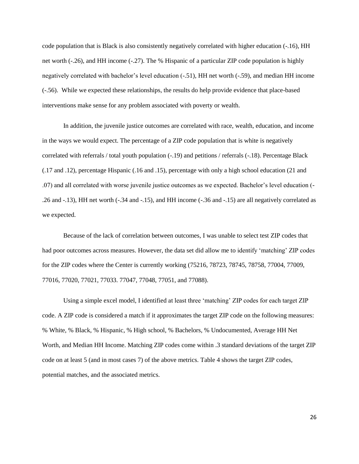code population that is Black is also consistently negatively correlated with higher education (-.16), HH net worth (-.26), and HH income (-.27). The % Hispanic of a particular ZIP code population is highly negatively correlated with bachelor's level education (-.51), HH net worth (-.59), and median HH income (-.56). While we expected these relationships, the results do help provide evidence that place-based interventions make sense for any problem associated with poverty or wealth.

In addition, the juvenile justice outcomes are correlated with race, wealth, education, and income in the ways we would expect. The percentage of a ZIP code population that is white is negatively correlated with referrals / total youth population (-.19) and petitions / referrals (-.18). Percentage Black (.17 and .12), percentage Hispanic (.16 and .15), percentage with only a high school education (21 and .07) and all correlated with worse juvenile justice outcomes as we expected. Bachelor's level education (- .26 and -.13), HH net worth (-.34 and -.15), and HH income (-.36 and -.15) are all negatively correlated as we expected.

Because of the lack of correlation between outcomes, I was unable to select test ZIP codes that had poor outcomes across measures. However, the data set did allow me to identify 'matching' ZIP codes for the ZIP codes where the Center is currently working (75216, 78723, 78745, 78758, 77004, 77009, 77016, 77020, 77021, 77033. 77047, 77048, 77051, and 77088).

Using a simple excel model, I identified at least three 'matching' ZIP codes for each target ZIP code. A ZIP code is considered a match if it approximates the target ZIP code on the following measures: % White, % Black, % Hispanic, % High school, % Bachelors, % Undocumented, Average HH Net Worth, and Median HH Income. Matching ZIP codes come within .3 standard deviations of the target ZIP code on at least 5 (and in most cases 7) of the above metrics. Table 4 shows the target ZIP codes, potential matches, and the associated metrics.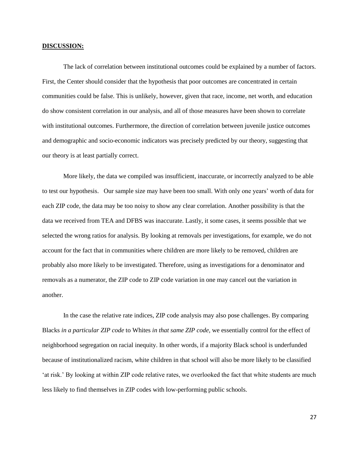#### **DISCUSSION:**

The lack of correlation between institutional outcomes could be explained by a number of factors. First, the Center should consider that the hypothesis that poor outcomes are concentrated in certain communities could be false. This is unlikely, however, given that race, income, net worth, and education do show consistent correlation in our analysis, and all of those measures have been shown to correlate with institutional outcomes. Furthermore, the direction of correlation between juvenile justice outcomes and demographic and socio-economic indicators was precisely predicted by our theory, suggesting that our theory is at least partially correct.

More likely, the data we compiled was insufficient, inaccurate, or incorrectly analyzed to be able to test our hypothesis. Our sample size may have been too small. With only one years' worth of data for each ZIP code, the data may be too noisy to show any clear correlation. Another possibility is that the data we received from TEA and DFBS was inaccurate. Lastly, it some cases, it seems possible that we selected the wrong ratios for analysis. By looking at removals per investigations, for example, we do not account for the fact that in communities where children are more likely to be removed, children are probably also more likely to be investigated. Therefore, using as investigations for a denominator and removals as a numerator, the ZIP code to ZIP code variation in one may cancel out the variation in another.

In the case the relative rate indices, ZIP code analysis may also pose challenges. By comparing Blacks *in a particular ZIP code* to Whites *in that same ZIP code,* we essentially control for the effect of neighborhood segregation on racial inequity. In other words, if a majority Black school is underfunded because of institutionalized racism, white children in that school will also be more likely to be classified 'at risk.' By looking at within ZIP code relative rates, we overlooked the fact that white students are much less likely to find themselves in ZIP codes with low-performing public schools.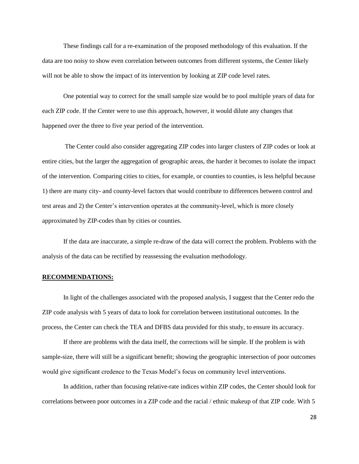These findings call for a re-examination of the proposed methodology of this evaluation. If the data are too noisy to show even correlation between outcomes from different systems, the Center likely will not be able to show the impact of its intervention by looking at ZIP code level rates.

One potential way to correct for the small sample size would be to pool multiple years of data for each ZIP code. If the Center were to use this approach, however, it would dilute any changes that happened over the three to five year period of the intervention.

The Center could also consider aggregating ZIP codes into larger clusters of ZIP codes or look at entire cities, but the larger the aggregation of geographic areas, the harder it becomes to isolate the impact of the intervention. Comparing cities to cities, for example, or counties to counties, is less helpful because 1) there are many city- and county-level factors that would contribute to differences between control and test areas and 2) the Center's intervention operates at the community-level, which is more closely approximated by ZIP-codes than by cities or counties.

If the data are inaccurate, a simple re-draw of the data will correct the problem. Problems with the analysis of the data can be rectified by reassessing the evaluation methodology.

#### **RECOMMENDATIONS:**

In light of the challenges associated with the proposed analysis, I suggest that the Center redo the ZIP code analysis with 5 years of data to look for correlation between institutional outcomes. In the process, the Center can check the TEA and DFBS data provided for this study, to ensure its accuracy.

If there are problems with the data itself, the corrections will be simple. If the problem is with sample-size, there will still be a significant benefit; showing the geographic intersection of poor outcomes would give significant credence to the Texas Model's focus on community level interventions.

In addition, rather than focusing relative-rate indices within ZIP codes, the Center should look for correlations between poor outcomes in a ZIP code and the racial / ethnic makeup of that ZIP code. With 5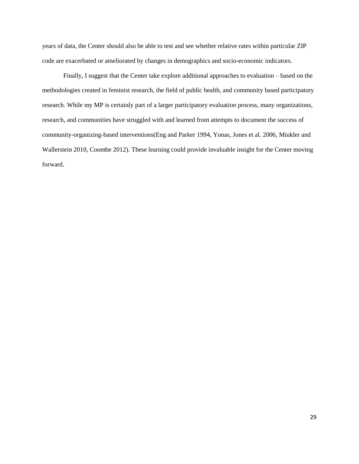years of data, the Center should also be able to test and see whether relative rates within particular ZIP code are exacerbated or ameliorated by changes in demographics and socio-economic indicators.

Finally, I suggest that the Center take explore additional approaches to evaluation – based on the methodologies created in feminist research, the field of public health, and community based participatory research. While my MP is certainly part of a larger participatory evaluation process, many organizations, research, and communities have struggled with and learned from attempts to document the success of community-organizing-based interventions[\(Eng and Parker 1994,](#page-33-14) [Yonas, Jones et al. 2006,](#page-36-9) [Minkler and](#page-34-14)  [Wallerstein 2010,](#page-34-14) [Coombe 2012\)](#page-32-16). These learning could provide invaluable insight for the Center moving forward.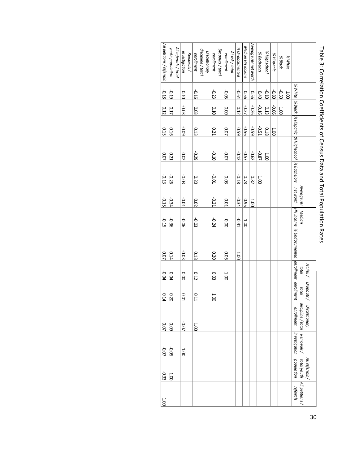| Average HH net worth<br>Median HH income<br>All referrals / total<br>% Undocumented<br>youth population<br>discipline / total<br>Dropouts/total<br>% Highschool<br>At risk / total<br>Discretionary<br>investigation<br>% Bachelors<br>enrollment<br>enrollment<br>Removals/<br>enrollment<br>% Hispanic<br>% White<br>% Black<br>% White<br>-0.64<br>$-0.10$<br>$-0.19$<br>$-0.80$<br>-0.50<br>$-0.16$<br>$-0.05$<br>$-0.23$<br>950<br>950<br>0.40<br>1.001<br>0.10<br>  % Black   % Hispanic   % Highschool   % Bachelors<br>$-0.27$<br>$-0.26$<br>-0.06<br>$-0.16$<br>$-0.03$<br>0.17<br>0.13<br>0.03<br>0.10<br>0.00<br>0.12<br>1.00<br>$-0.56$<br>-0.59<br>$-0.51$<br>$-0.09$<br>0.21<br>0.59<br>0.16<br>0.13<br>0.07<br>0.18<br>$\frac{1}{2}$<br>-0.57<br>$-0.10$<br>-0.07<br>$-0.12$<br>$-0.62$<br>-0.87<br>$-0.29$<br>0.21<br>0.02<br>1.001<br>$-0.01$<br>$-0.18$<br>$-0.26$<br>$-0.03$<br>0.78<br>0.82<br>0.03<br>0.20<br>1.00<br>net Worth   HH income   % Undocunented   enrollment   enrollment<br>Average HH<br>$-0.21$<br>$-0.34$<br>$-0.01$<br>-0.34<br>0.01<br>0.95<br>0.02<br>1.001<br>Median<br>$-0.24$<br>$-0.41$<br>$-0.03$<br>$-0.36$<br>$-0.06$<br>$\overline{0.00}$<br>1.001<br>$-0.03$<br>0.18<br>0.14<br>0.20<br>90.0<br>1.001<br>At risk /<br>total<br>0.12<br>0.04<br>0.00<br>0.03<br>1.00<br>Dropouts/<br>total<br>0.01<br>0.11<br>0.20<br>1.00 | $ 10.0^{-}$                      | 10.07 | 0.14 | -0.04 | 10.07 | $-0.15$ | $-0.15$ | $-0.13$ | 10.0 | 0.15 | 0.12 | $-0.18$ | All petitions / referrals |
|-----------------------------------------------------------------------------------------------------------------------------------------------------------------------------------------------------------------------------------------------------------------------------------------------------------------------------------------------------------------------------------------------------------------------------------------------------------------------------------------------------------------------------------------------------------------------------------------------------------------------------------------------------------------------------------------------------------------------------------------------------------------------------------------------------------------------------------------------------------------------------------------------------------------------------------------------------------------------------------------------------------------------------------------------------------------------------------------------------------------------------------------------------------------------------------------------------------------------------------------------------------------------------------------------------------------------------------------------------------------------------|----------------------------------|-------|------|-------|-------|---------|---------|---------|------|------|------|---------|---------------------------|
|                                                                                                                                                                                                                                                                                                                                                                                                                                                                                                                                                                                                                                                                                                                                                                                                                                                                                                                                                                                                                                                                                                                                                                                                                                                                                                                                                                             | 60.0                             |       |      |       |       |         |         |         |      |      |      |         |                           |
|                                                                                                                                                                                                                                                                                                                                                                                                                                                                                                                                                                                                                                                                                                                                                                                                                                                                                                                                                                                                                                                                                                                                                                                                                                                                                                                                                                             | $-0.07$                          |       |      |       |       |         |         |         |      |      |      |         |                           |
|                                                                                                                                                                                                                                                                                                                                                                                                                                                                                                                                                                                                                                                                                                                                                                                                                                                                                                                                                                                                                                                                                                                                                                                                                                                                                                                                                                             | 1.001                            |       |      |       |       |         |         |         |      |      |      |         |                           |
|                                                                                                                                                                                                                                                                                                                                                                                                                                                                                                                                                                                                                                                                                                                                                                                                                                                                                                                                                                                                                                                                                                                                                                                                                                                                                                                                                                             |                                  |       |      |       |       |         |         |         |      |      |      |         |                           |
|                                                                                                                                                                                                                                                                                                                                                                                                                                                                                                                                                                                                                                                                                                                                                                                                                                                                                                                                                                                                                                                                                                                                                                                                                                                                                                                                                                             |                                  |       |      |       |       |         |         |         |      |      |      |         |                           |
|                                                                                                                                                                                                                                                                                                                                                                                                                                                                                                                                                                                                                                                                                                                                                                                                                                                                                                                                                                                                                                                                                                                                                                                                                                                                                                                                                                             |                                  |       |      |       |       |         |         |         |      |      |      |         |                           |
|                                                                                                                                                                                                                                                                                                                                                                                                                                                                                                                                                                                                                                                                                                                                                                                                                                                                                                                                                                                                                                                                                                                                                                                                                                                                                                                                                                             |                                  |       |      |       |       |         |         |         |      |      |      |         |                           |
|                                                                                                                                                                                                                                                                                                                                                                                                                                                                                                                                                                                                                                                                                                                                                                                                                                                                                                                                                                                                                                                                                                                                                                                                                                                                                                                                                                             |                                  |       |      |       |       |         |         |         |      |      |      |         |                           |
|                                                                                                                                                                                                                                                                                                                                                                                                                                                                                                                                                                                                                                                                                                                                                                                                                                                                                                                                                                                                                                                                                                                                                                                                                                                                                                                                                                             |                                  |       |      |       |       |         |         |         |      |      |      |         |                           |
|                                                                                                                                                                                                                                                                                                                                                                                                                                                                                                                                                                                                                                                                                                                                                                                                                                                                                                                                                                                                                                                                                                                                                                                                                                                                                                                                                                             |                                  |       |      |       |       |         |         |         |      |      |      |         |                           |
|                                                                                                                                                                                                                                                                                                                                                                                                                                                                                                                                                                                                                                                                                                                                                                                                                                                                                                                                                                                                                                                                                                                                                                                                                                                                                                                                                                             |                                  |       |      |       |       |         |         |         |      |      |      |         |                           |
|                                                                                                                                                                                                                                                                                                                                                                                                                                                                                                                                                                                                                                                                                                                                                                                                                                                                                                                                                                                                                                                                                                                                                                                                                                                                                                                                                                             |                                  |       |      |       |       |         |         |         |      |      |      |         |                           |
|                                                                                                                                                                                                                                                                                                                                                                                                                                                                                                                                                                                                                                                                                                                                                                                                                                                                                                                                                                                                                                                                                                                                                                                                                                                                                                                                                                             |                                  |       |      |       |       |         |         |         |      |      |      |         |                           |
|                                                                                                                                                                                                                                                                                                                                                                                                                                                                                                                                                                                                                                                                                                                                                                                                                                                                                                                                                                                                                                                                                                                                                                                                                                                                                                                                                                             |                                  |       |      |       |       |         |         |         |      |      |      |         |                           |
|                                                                                                                                                                                                                                                                                                                                                                                                                                                                                                                                                                                                                                                                                                                                                                                                                                                                                                                                                                                                                                                                                                                                                                                                                                                                                                                                                                             |                                  |       |      |       |       |         |         |         |      |      |      |         |                           |
|                                                                                                                                                                                                                                                                                                                                                                                                                                                                                                                                                                                                                                                                                                                                                                                                                                                                                                                                                                                                                                                                                                                                                                                                                                                                                                                                                                             |                                  |       |      |       |       |         |         |         |      |      |      |         |                           |
|                                                                                                                                                                                                                                                                                                                                                                                                                                                                                                                                                                                                                                                                                                                                                                                                                                                                                                                                                                                                                                                                                                                                                                                                                                                                                                                                                                             | discipline / total<br>enrollment |       |      |       |       |         |         |         |      |      |      |         |                           |
|                                                                                                                                                                                                                                                                                                                                                                                                                                                                                                                                                                                                                                                                                                                                                                                                                                                                                                                                                                                                                                                                                                                                                                                                                                                                                                                                                                             | <b>Discretionary</b>             |       |      |       |       |         |         |         |      |      |      |         |                           |

# Table 3: Correlation Coefficients of Census Data and Total Population Rates Table 3: Correlation Coefficients of Census Data and Total Population Rates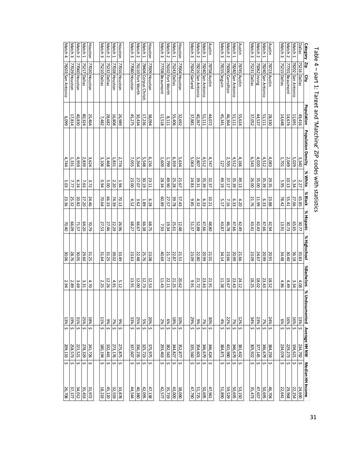| Match 4           | Match 3                      | Match <sub>2</sub> | Match <sub>1</sub> | Houston       | Match 3      | Match 2          | Match 1       | Houston       | Match 3       | Match <sub>2</sub>           | Match <sub>1</sub>   | Houston       | Match 3        | Match <sub>2</sub>     | Match <sub>1</sub> | Houston       | Match 3       | Match 2            | Match 1           | Austin       | Match 3      | Match 2               | Match 1            | Austin       | Match 3        | Match 2               | Match 1           | Austin                       | Match 3      | Match <sub>2</sub>      | Match 1           | <b>Dallas</b> | Category Zip                             |
|-------------------|------------------------------|--------------------|--------------------|---------------|--------------|------------------|---------------|---------------|---------------|------------------------------|----------------------|---------------|----------------|------------------------|--------------------|---------------|---------------|--------------------|-------------------|--------------|--------------|-----------------------|--------------------|--------------|----------------|-----------------------|-------------------|------------------------------|--------------|-------------------------|-------------------|---------------|------------------------------------------|
| 78203 San Antonio | 77029 Houston                | 77060 Houston      | 75217 Dallas       | 77020 Houston | 75210 Dallas | 75232 Dallas     | 77028 Houston | 77016 Houston | 77080 Houston | 76110 Fort Worth             | 78404 Corpus Christi | 77009 Houston | 77708 Beaumont | 76102 Fort Worth       | 75243 Dallas       | 77004 Houston | 75042 Garland | 78216 San Antonio  | 78240 San Antonio | 78758 Austin | 78155 Seguin | 75006 Carrollton      | 78240 San Antonio  | 78745 Austin | 75231 Dallas   | 75062 Irving          | 78240 San Antonio | 78723 Austin                 | 75215 Dallas | 77701 Beaumont          | 78202 San Antonio | 75216 Dallas  | Ş                                        |
|                   |                              |                    |                    |               |              |                  |               |               |               |                              |                      |               |                |                        |                    |               |               |                    |                   |              |              |                       |                    |              |                |                       |                   |                              |              |                         |                   |               |                                          |
| 6,099             | 17,814                       | 40,830             | 80,324             | 25,464        | 7,482        | 28,682           | 16,808        | 26,989        | 45,275        | 30,434                       | 17,236               | 38,094        | 11,518         | 8,111                  | 55,406             | 32,692        | 37,881        | 40,267             | 51,111            | 44,072       | 45,341       | 46,364                | 51,111             | 55,614       | 37,052         | 44,537                | 51,111            | 28,330                       | 14,648       | 14,674                  | 11,691            | 49,416        |                                          |
| 4,744             | 1,331                        | 4,959              | 2,839              | 3,624         | 3,106        | 3,468            | 1,831         | 2,774         | 7,055         | 5,264                        | 5,548                | 6,156         | 1,609          | 1,799                  | 6,359              | 5,634         | 5,063         | 2,807              | 4,512             | 4,747        | 127          | 2,705                 | 4,512              | 4,166        | 6,543          | 4,020                 | 4,512             | 4,083                        | 1,701        | 2,049                   | 5,029             | 3,340         | Population Population Density            |
| 5.03              | 7.77                         | 6.24               | 7.63               | 3.72          | <b>D.94</b>  | 5.00             | 2.20          | 1.94          | 23.00         | 27.07                        | 30.19                | 23.11         | 28.34          | 49.90                  | 25.28              | 21.67         | 24.83         | 39.31              | 35.39             | 32.37        | 49.19        | 37.17                 | 35.39              | 49.13        | 26.00          | $\frac{35.39}{35.00}$ |                   | 29.35                        | 5.95         | $10.13\,$               | 5.34              | 2.27          | % White                                  |
| 23.36             | 25.32                        | 20.82              | 27.20              | 24.46         | 70.64        | 74.39<br>66.33   |               | 70.13         | 4.52          | 3.62                         | 1.89                 | 6.28          | 60.89          | 27.57                  | 39.78              | 57.43         | 9.85          | 4.32               | 6.33              | 10.21        | 5.17         | 7.16                  | 6.33               | 4.20         | 21.76          | 11.99                 | 6.33              | 23.88                        | 78.42        | 55.41                   | 27.66             | 65.85         | % Black                                  |
| 70.40             | 66.09                        | 71.57              | 64.20              | 70.79         | 27.53        | 27.46            | 22.29         | 26.96         | 68.27         | <b>66.67</b>                 | 66.38                | 68.75         | 7.93           | 19.34                  | 25.61              | 12.48         | 51.37         | 52.88              | 47.66             | 48.80        | 43.87        | 46.78                 | 47.66              | 42.49        | 43.41          | 42.43                 | 47.66             | 42.94                        | 13.91        | 30.73                   | <b>65.65</b>      | 30.77         | % Hispanic                               |
| 30.06             | 28.76                        | 30.05              | 29.60              | 31.25         | 31.64        | 31.25            | 39.02         | 33.49         | 23.63         | 22.48                        | 25.76                | 23.08         | 40.69          | 21.77                  | 22.87              | 21.51         | 23.09         | 22.80              | 20.99             | 21.01        | 34.14        | 23.66                 | 20.99              | 21.66        | 23.09          | 24.67                 | 20.99             | 20.91                        | 34.48        | $\frac{36.18}{30.40}$   |                   | 35.83         | % Highschool                             |
| 2.94              | 2.89                         | 3.69               | 3.31               | 4.70          | 2.25         | 12.26            | 4.91          | 5.12          | 13.91         | 12.00                        | 12.73                | 12.53         | 11.43          | 22.11                  | 21.25              | 20.62         | 16'6          | 21.72              | 23.43             | 21.91        | 11.38        | 19.67                 | 23.43              | 24.12        | 18.25          | $\frac{23.43}{18.02}$ |                   | 18.52                        | 4.86         | 4.49                    | 3.34              | 4.08          | %Bachelors % Undo                        |
| 13%               | 19%                          | 31%                | 25%                | 18%           | 11%          | 7%<br>9%         |               | 9%            | 33%           | 5%<br>25%                    |                      | 20%           | 2%             | 18%<br>6%              |                    | 10%           | 29%           | 7%<br>9%           |                   | 30%          | 4%           | 7%<br>22%             |                    | 12%          | 34%            | 23%                   | 7%                | 24%                          | 6%           | 16%                     | 16%               | 13%           |                                          |
| s                 | S                            | \$                 | Ş                  | S             | s            | S                | S             | Ş             | S             | S                            | ↔                    | Ś             | S              | Ş                      | $\hat{\mathbf{v}}$ | Ş             | s             | S                  | Ş                 | Ş            | s            | S                     | $\hat{\mathbf{v}}$ |              | $\mathfrak{c}$ | S                     | Ş                 | Ş                            | S            | $\hat{\mathbf{v}}$      | S                 |               |                                          |
| 209,133           | 258,573                      | 221,521            | 278,329            | 241,726       | 180,194      | 332,441          | 273,176       | 275,875       | 337,607       | 325,723<br>336,235           |                      | 375,975       | 293,463        | 344,827<br>382,563     |                    | 352,877       | 335,560       | 346,679<br>354,601 |                   | 346,424      | 384,871      | 346,679<br>431,980    |                    | 381,432      | 305,922        | 346,679<br>377,145    |                   | 384,259                      | 234,074      | 229,273                 | 194,621           | 234,792       |                                          |
| s<br>26,708       | $\hat{\mathbf{v}}$<br>37,377 | Ş<br>34,012        | Ş<br>35,453        | S<br>31,972   | \$<br>18,233 | $\sim$<br>45,120 | S<br>32,559   | ¢<br>33,878   | \$<br>44,544  | ¢<br>$\frac{42,095}{40,380}$ | Ş                    | Ş<br>47,138   | \$<br>42,577   | ∽∣<br>43,000<br>35,719 | $\sim$             | Ş<br>38,090   | \$<br>47,790  | $\sim$<br>50,695   | Ş                 | Ş<br>47,961  | S<br>51,890  | Ş<br>50,695<br>59,529 | Ş                  | Ş<br>53,150  | ¢<br>35,473    | Ş<br>50,695           | \$                | $\hat{\mathbf{v}}$<br>46,704 | s<br>22,641  | Ş<br>22, 254<br>29, 968 | S                 | 24,690        | ocumented Average HH NW Median HH Income |

Table 4 – part 1: Target and 'Matching' ZIP codes with statistics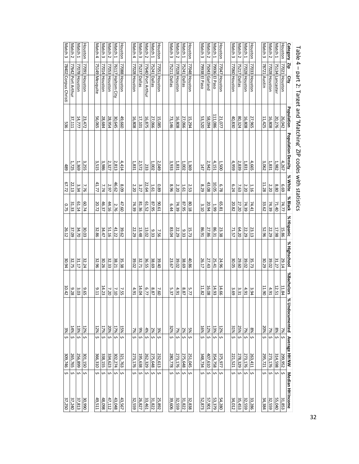|                    | dUIE $4 - 1$ du L L.  |                   | Taiku Machilik Kuko Ali Kongo Witi Statistics |         |            |            |              |                               |                                |                      |                    |        |
|--------------------|-----------------------|-------------------|-----------------------------------------------|---------|------------|------------|--------------|-------------------------------|--------------------------------|----------------------|--------------------|--------|
| <b>Category</b>    | diz<br>City           | <b>Population</b> | <b>Population Density</b>                     | % White | % Black    | % Hispanic | % Highschool | %Bachelors<br>$\overline{28}$ | Jndocumented                   | <b>Average HH NW</b> | Median HH Income   |        |
| Houston            | 77 <u>021 Houston</u> | 26,042            | 4,267                                         | 6.69    | 74.77      | 15.86      | 29.14        | 11.84                         | 7%<br>S                        | 299,952              | S                  | 31,853 |
| Match 1            | 75134 Lancaste        | 20,276            | 1,982                                         | 8.80    | 71.40      | 17.98      | 31.27        | 12.51                         | 8%<br>s                        | 314,598              | S                  | 55,040 |
| Match <sub>2</sub> | 77028 Houston         | 16,808            | 1,831                                         | 2.20    | 74.39      | 22.29      | 39.02        | 4.91                          | 7%<br>S                        | 273,176              | S                  | 32,559 |
| Match 3            | 78721 Austin          | 11,425            | $\frac{3}{2}$ .062                            | 11.28   | 33.62      | 52.96      | 30.29        | 11.90                         | 20%<br>S                       | 295,721              | Ş                  | 34,384 |
|                    |                       |                   |                                               |         |            |            |              |                               |                                |                      |                    |        |
| Houston            | 77033 Houston         | 27,965            | 4,665                                         | 1.16    | 74.41      | 23.13      | 35.73        | 3.94                          | 8%<br>s                        | 263,411              | S                  | 33,286 |
| Match 1            | 77028 Houston         | 16,808            | 1,831                                         | 2.20    | 74.39      | 22.29      | 39.02        | 4.91                          | 7%<br>S                        | 273,176              | \$                 | 32,559 |
| Match 2            | 75217 Dallas          | 80,324            | 2,839                                         | 7.63    | 27.20      | 64.20      | 29.60        | 3.31                          | 25%<br>s                       | 278,329              | \$                 | 35,453 |
| Match 3            | 77060 Houston         | 40,830            | 4,959                                         | 6.24    | 20.82      | 71.57      | 30.05        | 3.69                          | 31%<br>s                       | 221,521              | Ş                  | 34,012 |
|                    |                       |                   |                                               |         |            |            |              |                               |                                |                      |                    |        |
| Houston            | 77047 Houston         | 21,077            | 1,500                                         | 8.78    | 65.81      | 23.38      | 24.96        | 14.66                         | 12%<br>ç<br>S                  | 375,977              | S                  | 54,280 |
| Match 1            | 79936 El Paso         | 111,086           | 4,151                                         | 10.05   | <b>GGT</b> | 86.31      | 25.41        | 14.93                         | 13%<br>$\sim$                  | 354,758              | \$                 | 53,379 |
| Match 2            | 75043 Garland         | 58,094            | 2,942                                         | 43.08   | 20.94      | 27.86      | 27.43        | 16.08                         | $12%$ \$                       | 407,610              | S                  | 57,901 |
| Match 3            | 79938 El Paso         | 53,520            | 147                                           | 8.29    | 3.10       | 86.91      | 26.17        | 11.82                         | 16%<br>\$۱                     | 348,734              | S                  | 52,873 |
|                    |                       |                   |                                               |         |            |            |              |                               |                                |                      |                    |        |
| Houston            | 77048 Houston         | 15,294            | 1,369                                         | 2.53    | 80.18      | 15.73      | 40.86        | 5.77                          | 5%<br>ς.                       | 251,045              | $\mathbf{v}$       | 32,838 |
| Match 1            | 75241 Dallas          | 27,066            | 1,002                                         | 1.61    | 87.95      | 9.33       | 38.69        | $8.87$                        | $2%$ \$                        | 275,648              | $\mathbf{\hat{v}}$ | 31,822 |
| Match 2            | 77028 Houston         | 16,808            | 1,831                                         | 2.20    | 74.39      | 22.29      | 39.02        | 4.91                          | $\frac{3}{2}$                  | 273,176              | \$                 | 32,559 |
| Match 3            | 75211 Dallas          | 73,146            | 3,933                                         | 8.96    | 6.44       | 83.04      | 23.67        | 5.37                          | 32%<br>$\overline{\mathbf{3}}$ | 280,778              | S                  | 39,606 |
|                    |                       |                   |                                               |         |            |            |              |                               |                                |                      |                    |        |
| Houston            | 77051 Houston         | 15,085            | 2,049                                         | 0.89    | 1906       | 7.56       | 39.40        | 7.60                          | 3%<br>$\overline{\mathbf{c}}$  | 232,613              | S                  | 25,892 |
| Match <sub>1</sub> | 75241 Dallas          | 27,066            | $1,002$                                       | 1.61    | 87.95      | 9.33       | 38.69        | 8.87                          | 2%<br>S                        | 275,648              | S                  | 31,822 |
| Match 2            | 77640 Port Arthur     | 16,875            | 233                                           | 22.64   | E1.52      | 13.02      | 36.55        | 6.77                          | 4%<br>$\overline{\cdot}$       | 262,329              | S                  | 33,461 |
| Match 3            | 75237 Dallas          | 17,101            | 2,572                                         | 3.27    | 81.36      | 13.48      | 32.71        | 14.04                         | 966<br>$\hat{\mathbf{v}}$      | 195,638              | S                  | 26,827 |
| Match 4            | 77028 Houston         | 16,808            | 1,831                                         | 2.20    | 74.39      | 22.29      | 39.02        | 4.91                          | 冷<br>s                         | 273,176              | \$                 | 32,559 |
|                    |                       |                   |                                               |         |            |            |              |                               |                                |                      |                    |        |
| <b>Houston</b>     | 77088 Houston         | 49,660            | 4,414                                         | 8.09    | 47.60      | 39.62      | 35.38        | 7.55                          | <b>15%</b><br>Š                | 321,763              | Ş                  | 43,567 |
| Match 1            | 76117 Haltom City     | 30,645            | 2,813                                         | 46.62   | 2.76       | 41.22      | 38.21        | 2.10                          | 17%<br>S                       | 302,274              | S                  | 43,048 |
| Match 2            | 77053 Houston         | 28,954            | 2,327                                         | 2.97    | 44.16      | 51.16      | 32.33        | 7.20                          | 20%<br>$\mathfrak{c}$          | 334,623              | Ş                  | 47,112 |
| Match 3            | 77014 Houston         | 28,684            | 3,986                                         | 7.74    | 46.37      | 34.47      | 30.26        | 14.23                         | 17%<br>S                       | 338, 155             | S                  | 48,098 |
| Match 4            | 75149 Mesquite        | 56,065            | 3,515                                         | 41.77   | 20.72      | 32.86      | 32.96        | 9.11                          | 12%<br>s                       | 366,310              | \$                 | 49,511 |
|                    |                       |                   |                                               |         |            |            |              |                               |                                |                      |                    |        |
| Houston            | 77091 10uston         | 23,472            | 3,255                                         | 7.76    | 60.74      | 30.03      | 32.24        | 9.65                          | 12%<br>$\sim$                  | 301,150              | $\sim$             | 30,990 |
| Match 1            | 77078 Houston         | 14,777            | 1,369                                         | 3.34    | E1.14      | 34.70      | 31.17        | $\frac{3.03}{2}$              | 13%<br>Ş                       | 256,899              | ¢                  | 37,813 |
| Match <sub>2</sub> | 77642 Port Arthur     | 37,111            | 1,725                                         | 22.13   | 31.33      | 37.09      | 32.75        | 9.28                          | 14%<br>Ś                       | 265,765              | $\sim$             | 37,240 |
| Match 3            | 78402 Corpus Christi  | 536               | 489                                           | 67.72   | 0.75       | 26.12      | 30.94        | 10.42                         | 3%<br>s                        | 309,746              | s                  | 37,250 |

Table 4 – part 2: Target and 'Matching' ZIP codes with statisticsin<br>D י<br>הלוני ί  $\frac{2}{5}$ with statistics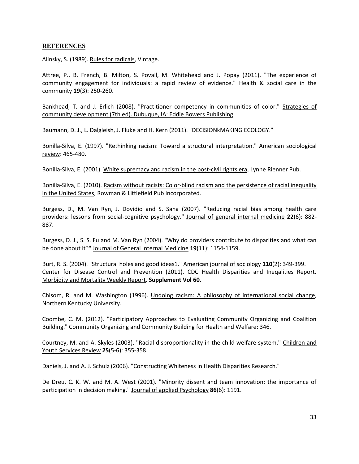# **REFERENCES**

<span id="page-32-12"></span><span id="page-32-2"></span>Alinsky, S. (1989). Rules for radicals, Vintage.

Attree, P., B. French, B. Milton, S. Povall, M. Whitehead and J. Popay (2011). "The experience of community engagement for individuals: a rapid review of evidence." Health & social care in the community **19**(3): 250-260.

<span id="page-32-15"></span>Bankhead, T. and J. Erlich (2008). "Practitioner competency in communities of color." Strategies of community development (7th ed). Dubuque, IA: Eddie Bowers Publishing.

<span id="page-32-6"></span><span id="page-32-0"></span>Baumann, D. J., L. Dalgleish, J. Fluke and H. Kern (2011). "DECISIONkMAKING ECOLOGY."

Bonilla-Silva, E. (1997). "Rethinking racism: Toward a structural interpretation." American sociological review: 465-480.

<span id="page-32-11"></span><span id="page-32-1"></span>Bonilla-Silva, E. (2001). White supremacy and racism in the post-civil rights era, Lynne Rienner Pub.

Bonilla-Silva, E. (2010). Racism without racists: Color-blind racism and the persistence of racial inequality in the United States, Rowman & Littlefield Pub Incorporated.

<span id="page-32-3"></span>Burgess, D., M. Van Ryn, J. Dovidio and S. Saha (2007). "Reducing racial bias among health care providers: lessons from social-cognitive psychology." Journal of general internal medicine **22**(6): 882- 887.

<span id="page-32-5"></span>Burgess, D. J., S. S. Fu and M. Van Ryn (2004). "Why do providers contribute to disparities and what can be done about it?" Journal of General Internal Medicine **19**(11): 1154-1159.

<span id="page-32-10"></span><span id="page-32-8"></span>Burt, R. S. (2004). "Structural holes and good ideas1." American journal of sociology **110**(2): 349-399. Center for Disease Control and Prevention (2011). CDC Health Disparities and Ineqalities Report. Morbidity and Mortality Weekly Report. **Supplement Vol 60**.

<span id="page-32-13"></span>Chisom, R. and M. Washington (1996). Undoing racism: A philosophy of international social change, Northern Kentucky University.

<span id="page-32-16"></span>Coombe, C. M. (2012). "Participatory Approaches to Evaluating Community Organizing and Coalition Building." Community Organizing and Community Building for Health and Welfare: 346.

<span id="page-32-9"></span>Courtney, M. and A. Skyles (2003). "Racial disproportionality in the child welfare system." Children and Youth Services Review **25**(5-6): 355-358.

<span id="page-32-14"></span><span id="page-32-7"></span>Daniels, J. and A. J. Schulz (2006). "Constructing Whiteness in Health Disparities Research."

<span id="page-32-4"></span>De Dreu, C. K. W. and M. A. West (2001). "Minority dissent and team innovation: the importance of participation in decision making." Journal of applied Psychology **86**(6): 1191.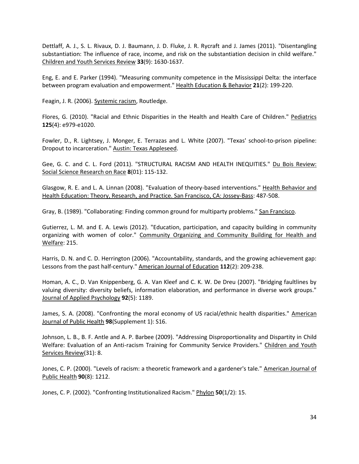Dettlaff, A. J., S. L. Rivaux, D. J. Baumann, J. D. Fluke, J. R. Rycraft and J. James (2011). "Disentangling substantiation: The influence of race, income, and risk on the substantiation decision in child welfare." Children and Youth Services Review **33**(9): 1630-1637.

<span id="page-33-14"></span>Eng, E. and E. Parker (1994). "Measuring community competence in the Mississippi Delta: the interface between program evaluation and empowerment." Health Education & Behavior **21**(2): 199-220.

<span id="page-33-9"></span><span id="page-33-7"></span>Feagin, J. R. (2006). Systemic racism, Routledge.

Flores, G. (2010). "Racial and Ethnic Disparities in the Health and Health Care of Children." Pediatrics **125**(4): e979-e1020.

<span id="page-33-8"></span>Fowler, D., R. Lightsey, J. Monger, E. Terrazas and L. White (2007). "Texas' school-to-prison pipeline: Dropout to incarceration." Austin: Texas Appleseed.

<span id="page-33-13"></span>Gee, G. C. and C. L. Ford (2011). "STRUCTURAL RACISM AND HEALTH INEQUITIES." Du Bois Review: Social Science Research on Race **8**(01): 115-132.

<span id="page-33-0"></span>Glasgow, R. E. and L. A. Linnan (2008). "Evaluation of theory-based interventions." Health Behavior and Health Education: Theory, Research, and Practice. San Francisco, CA: Jossey-Bass: 487-508.

<span id="page-33-11"></span><span id="page-33-3"></span>Gray, B. (1989). "Collaborating: Finding common ground for multiparty problems." San Francisco.

Gutierrez, L. M. and E. A. Lewis (2012). "Education, participation, and capacity building in community organizing with women of color." Community Organizing and Community Building for Health and Welfare: 215.

<span id="page-33-5"></span>Harris, D. N. and C. D. Herrington (2006). "Accountability, standards, and the growing achievement gap: Lessons from the past half‐century." American Journal of Education **112**(2): 209-238.

<span id="page-33-4"></span>Homan, A. C., D. Van Knippenberg, G. A. Van Kleef and C. K. W. De Dreu (2007). "Bridging faultlines by valuing diversity: diversity beliefs, information elaboration, and performance in diverse work groups." Journal of Applied Psychology **92**(5): 1189.

<span id="page-33-10"></span>James, S. A. (2008). "Confronting the moral economy of US racial/ethnic health disparities." American Journal of Public Health **98**(Supplement 1): S16.

<span id="page-33-2"></span>Johnson, L. B., B. F. Antle and A. P. Barbee (2009). "Addressing Disproportionality and Dispartity in Child Welfare: Evaluation of an Anti-racism Training for Community Service Providers." Children and Youth Services Review(31): 8.

<span id="page-33-12"></span>Jones, C. P. (2000). "Levels of racism: a theoretic framework and a gardener's tale." American Journal of Public Health **90**(8): 1212.

<span id="page-33-6"></span><span id="page-33-1"></span>Jones, C. P. (2002). "Confronting Institutionalized Racism." Phylon **50**(1/2): 15.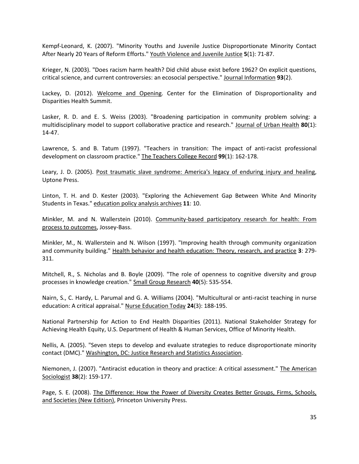Kempf-Leonard, K. (2007). "Minority Youths and Juvenile Justice Disproportionate Minority Contact After Nearly 20 Years of Reform Efforts." Youth Violence and Juvenile Justice **5**(1): 71-87.

<span id="page-34-13"></span>Krieger, N. (2003). "Does racism harm health? Did child abuse exist before 1962? On explicit questions, critical science, and current controversies: an ecosocial perspective." Journal Information **93**(2).

<span id="page-34-8"></span>Lackey, D. (2012). Welcome and Opening. Center for the Elimination of Disproportionality and Disparities Health Summit.

<span id="page-34-5"></span>Lasker, R. D. and E. S. Weiss (2003). "Broadening participation in community problem solving: a multidisciplinary model to support collaborative practice and research." Journal of Urban Health **80**(1): 14-47.

<span id="page-34-1"></span>Lawrence, S. and B. Tatum (1997). "Teachers in transition: The impact of anti-racist professional development on classroom practice." The Teachers College Record **99**(1): 162-178.

<span id="page-34-12"></span>Leary, J. D. (2005). Post traumatic slave syndrome: America's legacy of enduring injury and healing, Uptone Press.

<span id="page-34-7"></span>Linton, T. H. and D. Kester (2003). "Exploring the Achievement Gap Between White And Minority Students in Texas." education policy analysis archives **11**: 10.

<span id="page-34-14"></span>Minkler, M. and N. Wallerstein (2010). Community-based participatory research for health: From process to outcomes, Jossey-Bass.

<span id="page-34-3"></span>Minkler, M., N. Wallerstein and N. Wilson (1997). "Improving health through community organization and community building." Health behavior and health education: Theory, research, and practice **3**: 279- 311.

<span id="page-34-6"></span>Mitchell, R., S. Nicholas and B. Boyle (2009). "The role of openness to cognitive diversity and group processes in knowledge creation." Small Group Research **40**(5): 535-554.

<span id="page-34-0"></span>Nairn, S., C. Hardy, L. Parumal and G. A. Williams (2004). "Multicultural or anti-racist teaching in nurse education: A critical appraisal." Nurse Education Today **24**(3): 188-195.

<span id="page-34-11"></span>National Partnership for Action to End Health Disparities (2011). National Stakeholder Strategy for Achieving Health Equity, U.S. Department of Health & Human Services, Office of Minority Health.

<span id="page-34-9"></span>Nellis, A. (2005). "Seven steps to develop and evaluate strategies to reduce disproportionate minority contact (DMC)." Washington, DC: Justice Research and Statistics Association.

<span id="page-34-2"></span>Niemonen, J. (2007). "Antiracist education in theory and practice: A critical assessment." The American Sociologist **38**(2): 159-177.

<span id="page-34-10"></span><span id="page-34-4"></span>Page, S. E. (2008). The Difference: How the Power of Diversity Creates Better Groups, Firms, Schools, and Societies (New Edition), Princeton University Press.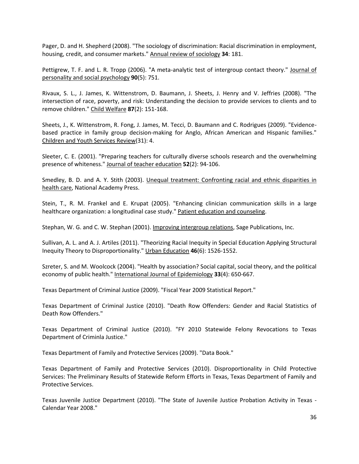Pager, D. and H. Shepherd (2008). "The sociology of discrimination: Racial discrimination in employment, housing, credit, and consumer markets." Annual review of sociology **34**: 181.

<span id="page-35-3"></span>Pettigrew, T. F. and L. R. Tropp (2006). "A meta-analytic test of intergroup contact theory." Journal of personality and social psychology **90**(5): 751.

<span id="page-35-0"></span>Rivaux, S. L., J. James, K. Wittenstrom, D. Baumann, J. Sheets, J. Henry and V. Jeffries (2008). "The intersection of race, poverty, and risk: Understanding the decision to provide services to clients and to remove children." Child Welfare **87**(2): 151-168.

<span id="page-35-5"></span>Sheets, J., K. Wittenstrom, R. Fong, J. James, M. Tecci, D. Baumann and C. Rodrigues (2009). "Evidencebased practice in family group decision-making for Anglo, African American and Hispanic families." Children and Youth Services Review(31): 4.

<span id="page-35-4"></span>Sleeter, C. E. (2001). "Preparing teachers for culturally diverse schools research and the overwhelming presence of whiteness." Journal of teacher education **52**(2): 94-106.

<span id="page-35-13"></span>Smedley, B. D. and A. Y. Stith (2003). Unequal treatment: Confronting racial and ethnic disparities in health care, National Academy Press.

<span id="page-35-2"></span>Stein, T., R. M. Frankel and E. Krupat (2005). "Enhancing clinician communication skills in a large healthcare organization: a longitudinal case study." Patient education and counseling.

<span id="page-35-14"></span><span id="page-35-1"></span>Stephan, W. G. and C. W. Stephan (2001). Improving intergroup relations, Sage Publications, Inc.

Sullivan, A. L. and A. J. Artiles (2011). "Theorizing Racial Inequity in Special Education Applying Structural Inequity Theory to Disproportionality." Urban Education **46**(6): 1526-1552.

<span id="page-35-7"></span>Szreter, S. and M. Woolcock (2004). "Health by association? Social capital, social theory, and the political economy of public health." International Journal of Epidemiology **33**(4): 650-667.

<span id="page-35-12"></span><span id="page-35-10"></span>Texas Department of Criminal Justice (2009). "Fiscal Year 2009 Statistical Report."

Texas Department of Criminal Justice (2010). "Death Row Offenders: Gender and Racial Statistics of Death Row Offenders."

<span id="page-35-11"></span>Texas Department of Criminal Justice (2010). "FY 2010 Statewide Felony Revocations to Texas Department of Criminla Justice."

<span id="page-35-8"></span><span id="page-35-6"></span>Texas Department of Family and Protective Services (2009). "Data Book."

Texas Department of Family and Protective Services (2010). Disproportionality in Child Protective Services: The Preliminary Results of Statewide Reform Efforts in Texas, Texas Department of Family and Protective Services.

<span id="page-35-9"></span>Texas Juvenile Justice Department (2010). "The State of Juvenile Justice Probation Activity in Texas - Calendar Year 2008."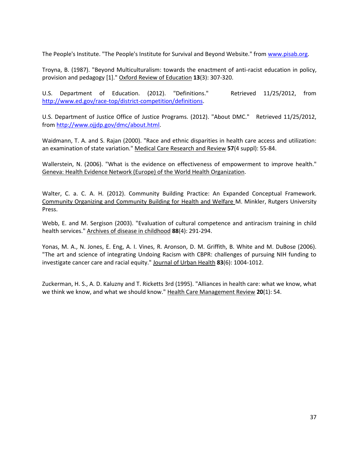<span id="page-36-1"></span><span id="page-36-0"></span>The People's Institute. "The People's Institute for Survival and Beyond Website." from [www.pisab.org.](http://www.pisab.org/)

Troyna, B. (1987). "Beyond Multiculturalism: towards the enactment of anti‐racist education in policy, provision and pedagogy [1]." Oxford Review of Education **13**(3): 307-320.

<span id="page-36-7"></span>U.S. Department of Education. (2012). "Definitions." Retrieved 11/25/2012, from [http://www.ed.gov/race-top/district-competition/definitions.](http://www.ed.gov/race-top/district-competition/definitions)

<span id="page-36-6"></span>U.S. Department of Justice Office of Justice Programs. (2012). "About DMC." Retrieved 11/25/2012, from [http://www.ojjdp.gov/dmc/about.html.](http://www.ojjdp.gov/dmc/about.html)

<span id="page-36-8"></span>Waidmann, T. A. and S. Rajan (2000). "Race and ethnic disparities in health care access and utilization: an examination of state variation." Medical Care Research and Review **57**(4 suppl): 55-84.

<span id="page-36-4"></span>Wallerstein, N. (2006). "What is the evidence on effectiveness of empowerment to improve health." Geneva: Health Evidence Network (Europe) of the World Health Organization.

<span id="page-36-3"></span>Walter, C. a. C. A. H. (2012). Community Building Practice: An Expanded Conceptual Framework. Community Organizing and Community Building for Health and Welfare M. Minkler, Rutgers University Press.

<span id="page-36-2"></span>Webb, E. and M. Sergison (2003). "Evaluation of cultural competence and antiracism training in child health services." Archives of disease in childhood **88**(4): 291-294.

<span id="page-36-9"></span>Yonas, M. A., N. Jones, E. Eng, A. I. Vines, R. Aronson, D. M. Griffith, B. White and M. DuBose (2006). "The art and science of integrating Undoing Racism with CBPR: challenges of pursuing NIH funding to investigate cancer care and racial equity." Journal of Urban Health **83**(6): 1004-1012.

<span id="page-36-5"></span>Zuckerman, H. S., A. D. Kaluzny and T. Ricketts 3rd (1995). "Alliances in health care: what we know, what we think we know, and what we should know." Health Care Management Review **20**(1): 54.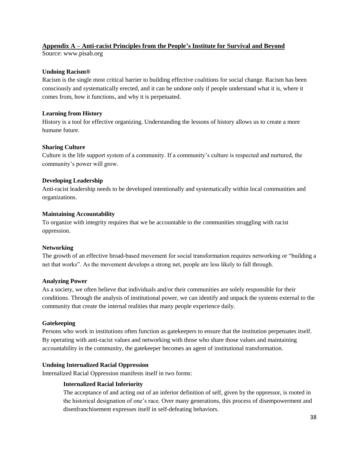# **Appendix A – Anti-racist Principles from the People's Institute for Survival and Beyond**

Source: www.pisab.org

# **Undoing Racism®**

Racism is the single most critical barrier to building effective coalitions for social change. Racism has been consciously and systematically erected, and it can be undone only if people understand what it is, where it comes from, how it functions, and why it is perpetuated.

# **Learning from History**

History is a tool for effective organizing. Understanding the lessons of history allows us to create a more humane future.

## **Sharing Culture**

Culture is the life support system of a community. If a community's culture is respected and nurtured, the community's power will grow.

# **Developing Leadership**

Anti-racist leadership needs to be developed intentionally and systematically within local communities and organizations.

## **Maintaining Accountability**

To organize with integrity requires that we be accountable to the communities struggling with racist oppression.

# **Networking**

The growth of an effective broad-based movement for social transformation requires networking or "building a net that works". As the movement develops a strong net, people are less likely to fall through.

#### **Analyzing Power**

As a society, we often believe that individuals and/or their communities are solely responsible for their conditions. Through the analysis of institutional power, we can identify and unpack the systems external to the community that create the internal realities that many people experience daily.

#### **Gatekeeping**

Persons who work in institutions often function as gatekeepers to ensure that the institution perpetuates itself. By operating with anti-racist values and networking with those who share those values and maintaining accountability in the community, the gatekeeper becomes an agent of institutional transformation.

# **Undoing Internalized Racial Oppression**

Internalized Racial Oppression manifests itself in two forms:

# **Internalized Racial Inferiority**

The acceptance of and acting out of an inferior definition of self, given by the oppressor, is rooted in the historical designation of one's race. Over many generations, this process of disempowerment and disenfranchisement expresses itself in self-defeating behaviors.